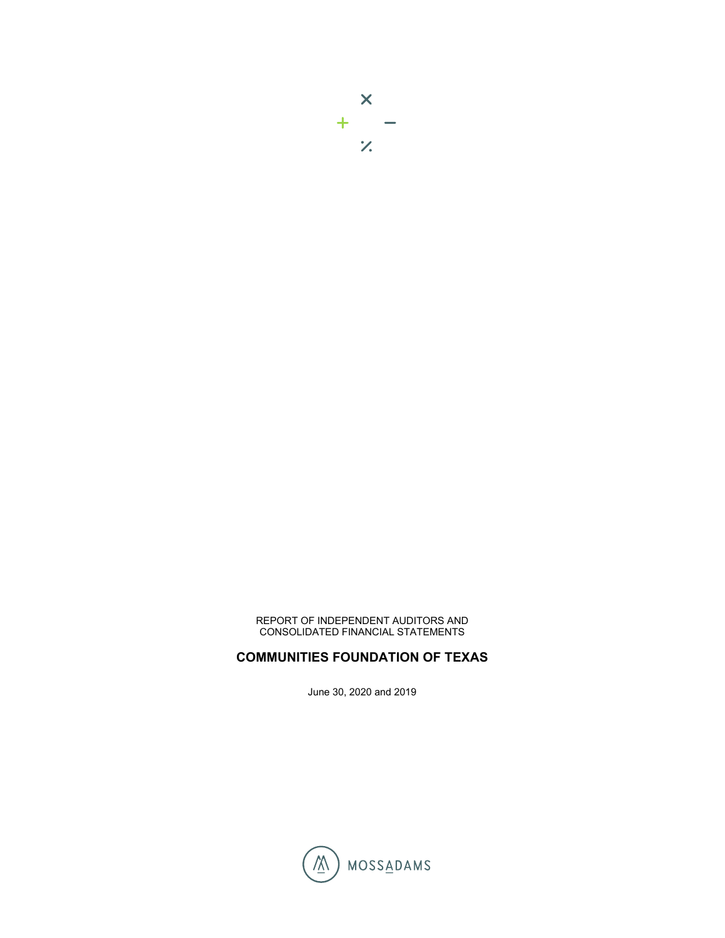

REPORT OF INDEPENDENT AUDITORS AND CONSOLIDATED FINANCIAL STATEMENTS

# **COMMUNITIES FOUNDATION OF TEXAS**

June 30, 2020 and 2019

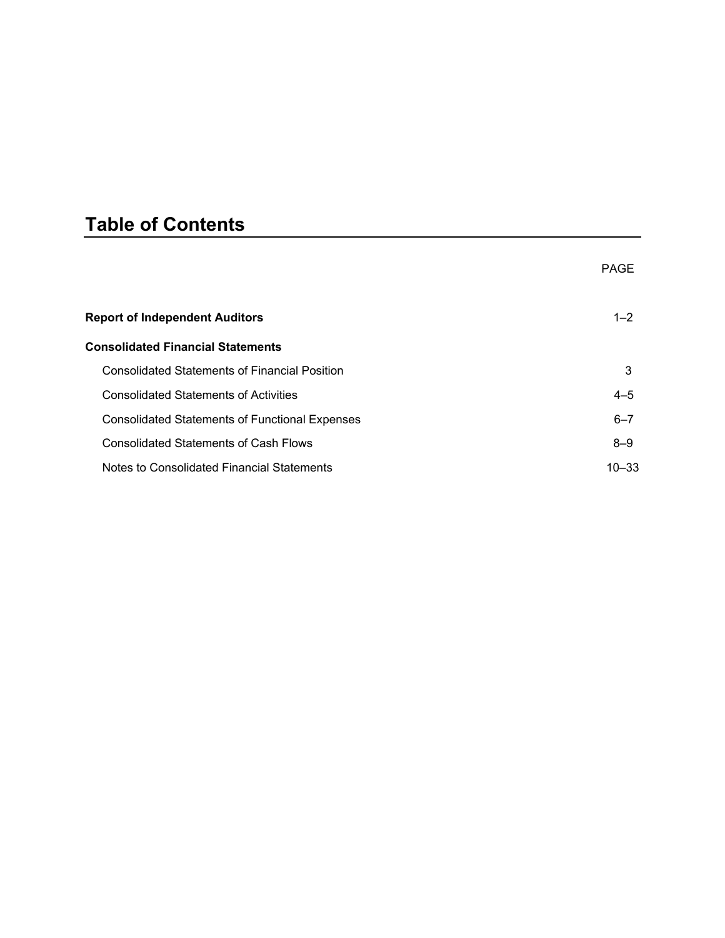# **Table of Contents**

|                                                       | <b>PAGE</b> |
|-------------------------------------------------------|-------------|
| <b>Report of Independent Auditors</b>                 | $1 - 2$     |
| <b>Consolidated Financial Statements</b>              |             |
| <b>Consolidated Statements of Financial Position</b>  | 3           |
| <b>Consolidated Statements of Activities</b>          | $4 - 5$     |
| <b>Consolidated Statements of Functional Expenses</b> | $6 - 7$     |
| <b>Consolidated Statements of Cash Flows</b>          | $8 - 9$     |
| Notes to Consolidated Financial Statements            | $10 - 33$   |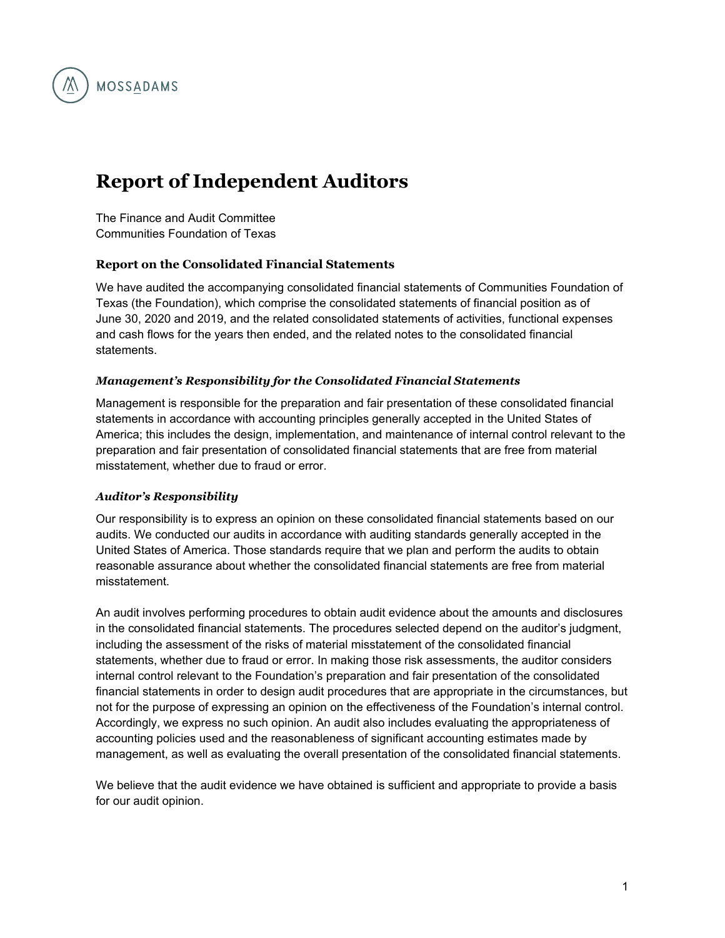

# **Report of Independent Auditors**

The Finance and Audit Committee Communities Foundation of Texas

# **Report on the Consolidated Financial Statements**

We have audited the accompanying consolidated financial statements of Communities Foundation of Texas (the Foundation), which comprise the consolidated statements of financial position as of June 30, 2020 and 2019, and the related consolidated statements of activities, functional expenses and cash flows for the years then ended, and the related notes to the consolidated financial statements.

#### *Management's Responsibility for the Consolidated Financial Statements*

Management is responsible for the preparation and fair presentation of these consolidated financial statements in accordance with accounting principles generally accepted in the United States of America; this includes the design, implementation, and maintenance of internal control relevant to the preparation and fair presentation of consolidated financial statements that are free from material misstatement, whether due to fraud or error.

#### *Auditor's Responsibility*

Our responsibility is to express an opinion on these consolidated financial statements based on our audits. We conducted our audits in accordance with auditing standards generally accepted in the United States of America. Those standards require that we plan and perform the audits to obtain reasonable assurance about whether the consolidated financial statements are free from material misstatement.

An audit involves performing procedures to obtain audit evidence about the amounts and disclosures in the consolidated financial statements. The procedures selected depend on the auditor's judgment, including the assessment of the risks of material misstatement of the consolidated financial statements, whether due to fraud or error. In making those risk assessments, the auditor considers internal control relevant to the Foundation's preparation and fair presentation of the consolidated financial statements in order to design audit procedures that are appropriate in the circumstances, but not for the purpose of expressing an opinion on the effectiveness of the Foundation's internal control. Accordingly, we express no such opinion. An audit also includes evaluating the appropriateness of accounting policies used and the reasonableness of significant accounting estimates made by management, as well as evaluating the overall presentation of the consolidated financial statements.

We believe that the audit evidence we have obtained is sufficient and appropriate to provide a basis for our audit opinion.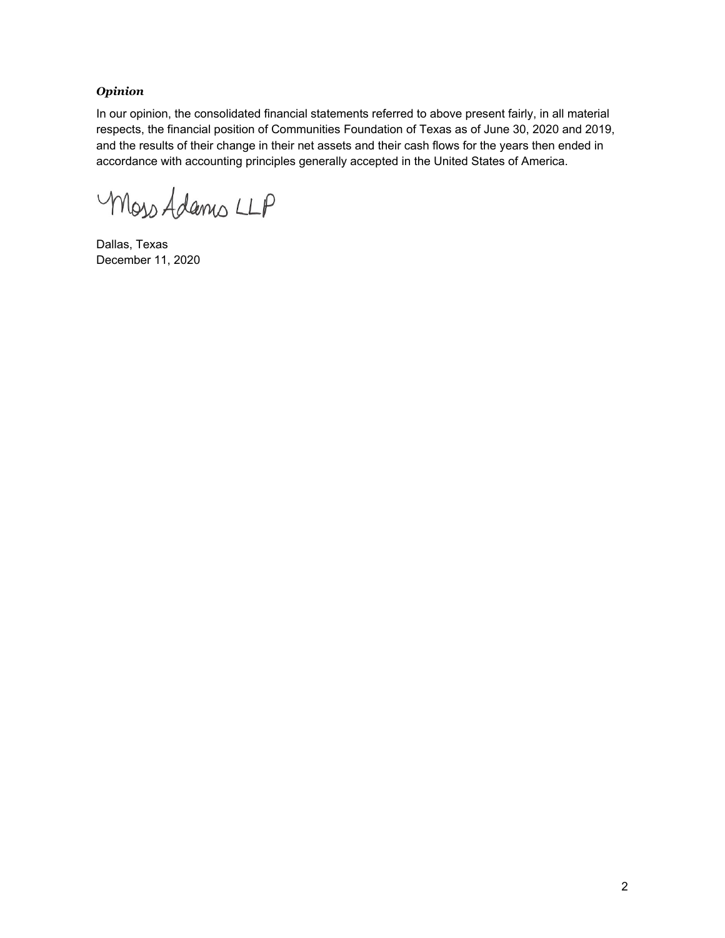## *Opinion*

In our opinion, the consolidated financial statements referred to above present fairly, in all material respects, the financial position of Communities Foundation of Texas as of June 30, 2020 and 2019, and the results of their change in their net assets and their cash flows for the years then ended in accordance with accounting principles generally accepted in the United States of America.

Moss Adams LLP

Dallas, Texas December 11, 2020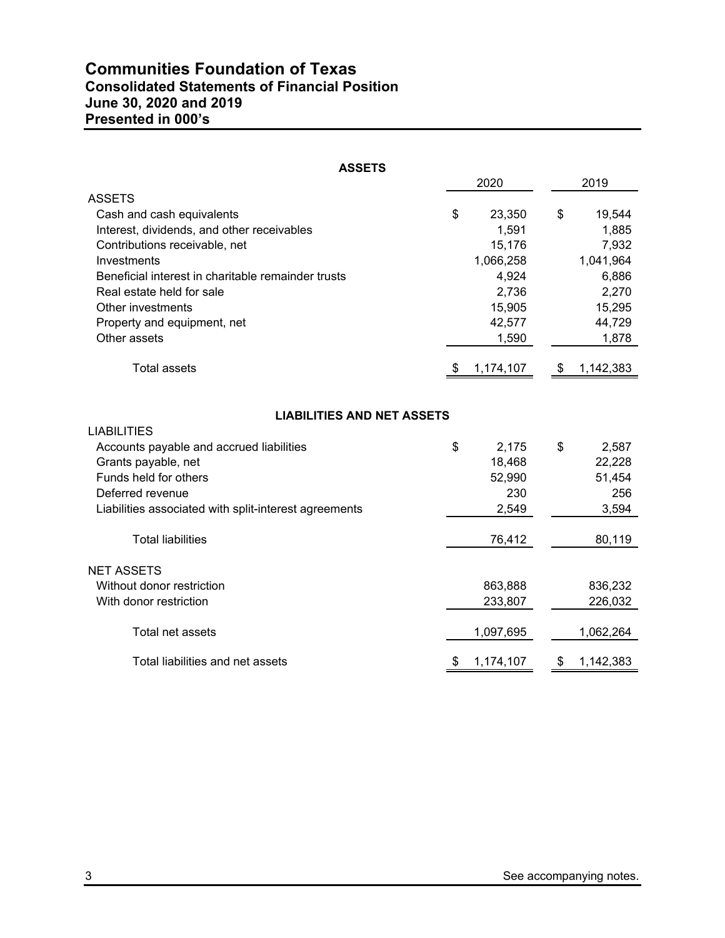# **Communities Foundation of Texas Consolidated Statements of Financial Position June 30, 2020 and 2019 Presented in 000's**

| <b>ASSETS</b>                                           |                 |                 |
|---------------------------------------------------------|-----------------|-----------------|
|                                                         | 2020            | 2019            |
| <b>ASSETS</b>                                           |                 |                 |
| Cash and cash equivalents                               | \$<br>23,350    | \$<br>19,544    |
| Interest, dividends, and other receivables              | 1,591           | 1,885           |
| Contributions receivable, net                           | 15,176          | 7,932           |
| Investments                                             | 1,066,258       | 1,041,964       |
| Beneficial interest in charitable remainder trusts      | 4,924           | 6,886           |
| Real estate held for sale                               | 2,736           | 2,270           |
| Other investments                                       | 15,905          | 15,295          |
| Property and equipment, net                             | 42,577          | 44,729          |
| Other assets                                            | 1,590           | 1,878           |
| <b>Total assets</b>                                     | \$<br>1,174,107 | \$<br>1,142,383 |
| <b>LIABILITIES AND NET ASSETS</b><br><b>LIABILITIES</b> |                 |                 |
| Accounts payable and accrued liabilities                | \$<br>2,175     | \$<br>2,587     |
| Grants payable, net                                     | 18,468          | 22,228          |
| Funds held for others                                   | 52,990          | 51,454          |
| Deferred revenue                                        | 230             | 256             |
| Liabilities associated with split-interest agreements   | 2,549           | 3,594           |
| <b>Total liabilities</b>                                | 76,412          | 80,119          |
| <b>NET ASSETS</b>                                       |                 |                 |
| Without donor restriction                               | 863,888         | 836,232         |
| With donor restriction                                  | 233,807         | 226,032         |
| Total net assets                                        | 1,097,695       | 1,062,264       |
| Total liabilities and net assets                        | \$<br>1,174,107 | \$<br>1,142,383 |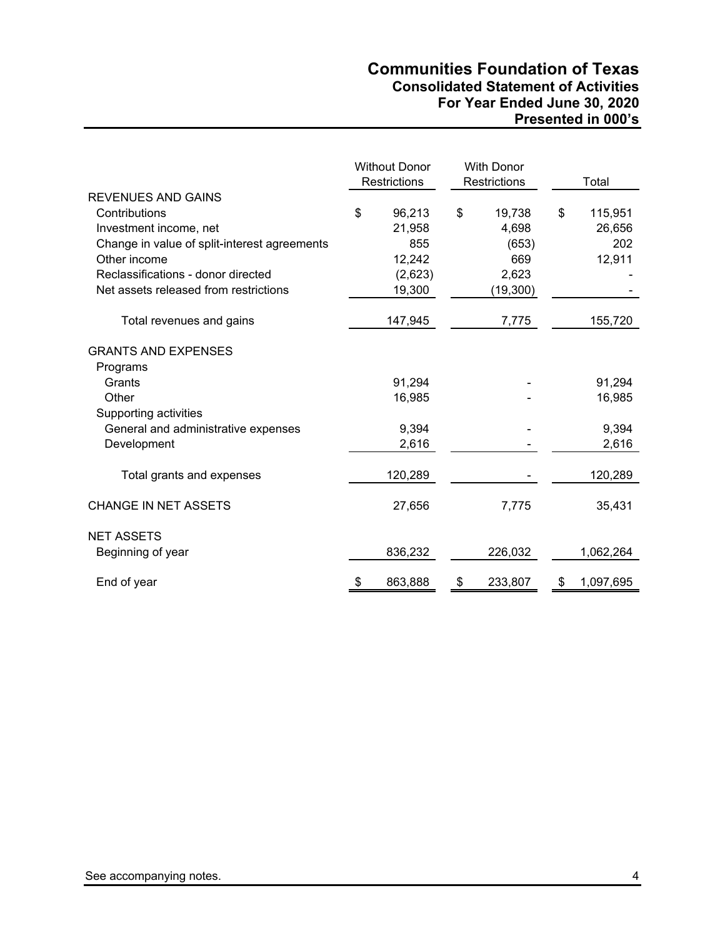# **Communities Foundation of Texas Consolidated Statement of Activities For Year Ended June 30, 2020 Presented in 000's**

|                                                                                                                                                                                                                     | <b>Without Donor</b><br>Restrictions |                                                        | <b>With Donor</b><br>Restrictions |                                                      | Total                                    |
|---------------------------------------------------------------------------------------------------------------------------------------------------------------------------------------------------------------------|--------------------------------------|--------------------------------------------------------|-----------------------------------|------------------------------------------------------|------------------------------------------|
| <b>REVENUES AND GAINS</b><br>Contributions<br>Investment income, net<br>Change in value of split-interest agreements<br>Other income<br>Reclassifications - donor directed<br>Net assets released from restrictions | \$                                   | 96,213<br>21,958<br>855<br>12,242<br>(2,623)<br>19,300 | \$                                | 19,738<br>4,698<br>(653)<br>669<br>2,623<br>(19,300) | \$<br>115,951<br>26,656<br>202<br>12,911 |
| Total revenues and gains                                                                                                                                                                                            |                                      | 147,945                                                |                                   | 7,775                                                | 155,720                                  |
| <b>GRANTS AND EXPENSES</b><br>Programs<br>Grants<br>Other<br>Supporting activities                                                                                                                                  |                                      | 91,294<br>16,985                                       |                                   |                                                      | 91,294<br>16,985                         |
| General and administrative expenses<br>Development                                                                                                                                                                  |                                      | 9,394<br>2,616                                         |                                   |                                                      | 9,394<br>2,616                           |
| Total grants and expenses                                                                                                                                                                                           |                                      | 120,289                                                |                                   |                                                      | 120,289                                  |
| <b>CHANGE IN NET ASSETS</b>                                                                                                                                                                                         |                                      | 27,656                                                 |                                   | 7,775                                                | 35,431                                   |
| <b>NET ASSETS</b><br>Beginning of year                                                                                                                                                                              |                                      | 836,232                                                |                                   | 226,032                                              | 1,062,264                                |
| End of year                                                                                                                                                                                                         | \$                                   | 863,888                                                | \$                                | 233,807                                              | \$<br>1,097,695                          |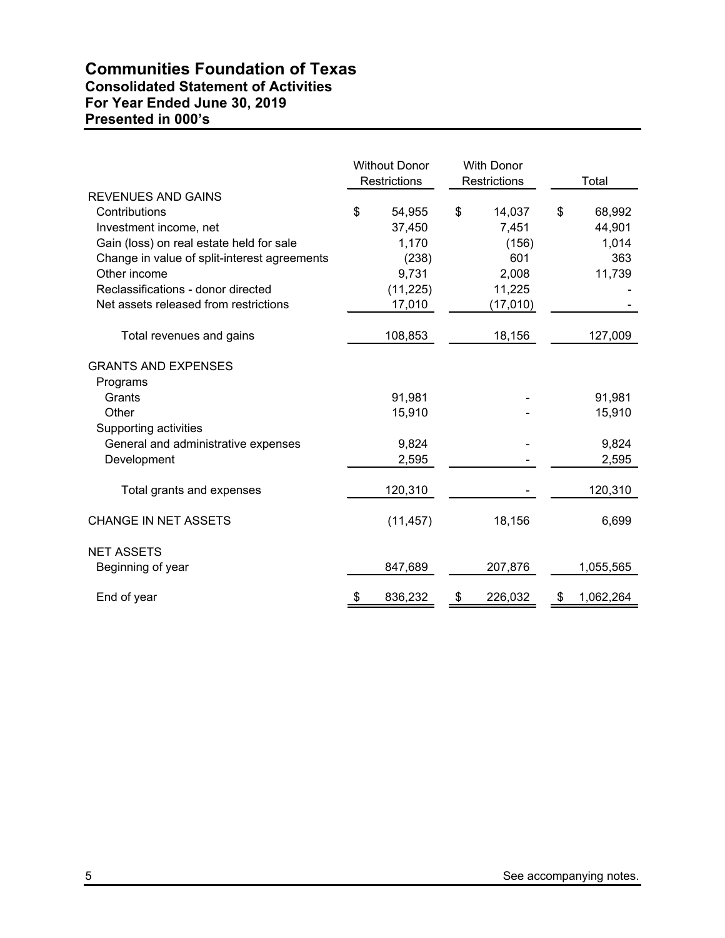# **Communities Foundation of Texas Consolidated Statement of Activities For Year Ended June 30, 2019 Presented in 000's**

|                                              | <b>Without Donor</b><br>Restrictions |           | <b>With Donor</b><br>Restrictions |          | Total           |
|----------------------------------------------|--------------------------------------|-----------|-----------------------------------|----------|-----------------|
| <b>REVENUES AND GAINS</b>                    |                                      |           |                                   |          |                 |
| Contributions                                | \$                                   | 54,955    | \$                                | 14,037   | \$<br>68,992    |
| Investment income, net                       |                                      | 37,450    |                                   | 7,451    | 44,901          |
| Gain (loss) on real estate held for sale     |                                      | 1,170     |                                   | (156)    | 1,014           |
| Change in value of split-interest agreements |                                      | (238)     |                                   | 601      | 363             |
| Other income                                 |                                      | 9,731     |                                   | 2,008    | 11,739          |
| Reclassifications - donor directed           |                                      | (11, 225) |                                   | 11,225   |                 |
| Net assets released from restrictions        |                                      | 17,010    |                                   | (17,010) |                 |
| Total revenues and gains                     |                                      | 108,853   |                                   | 18,156   | 127,009         |
| <b>GRANTS AND EXPENSES</b>                   |                                      |           |                                   |          |                 |
| Programs                                     |                                      |           |                                   |          |                 |
| Grants                                       |                                      | 91,981    |                                   |          | 91,981          |
| Other                                        |                                      | 15,910    |                                   |          | 15,910          |
| Supporting activities                        |                                      |           |                                   |          |                 |
| General and administrative expenses          |                                      | 9,824     |                                   |          | 9,824           |
| Development                                  |                                      | 2,595     |                                   |          | 2,595           |
| Total grants and expenses                    |                                      | 120,310   |                                   |          | 120,310         |
| <b>CHANGE IN NET ASSETS</b>                  |                                      | (11, 457) |                                   | 18,156   | 6,699           |
| <b>NET ASSETS</b>                            |                                      |           |                                   |          |                 |
| Beginning of year                            |                                      | 847,689   |                                   | 207,876  | 1,055,565       |
| End of year                                  | \$                                   | 836,232   | \$                                | 226,032  | \$<br>1,062,264 |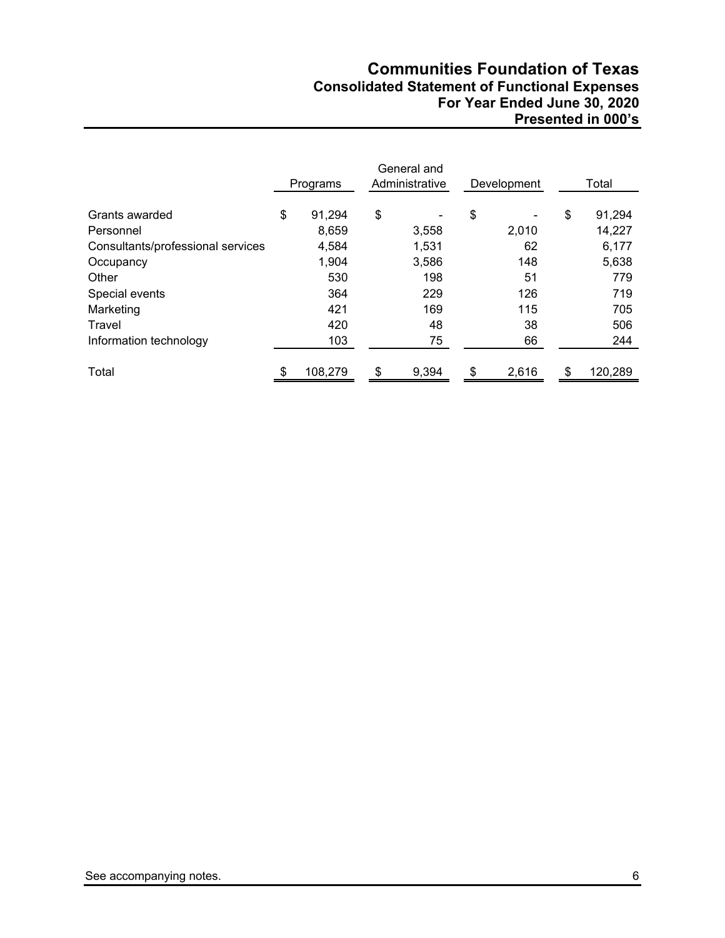# **Communities Foundation of Texas Consolidated Statement of Functional Expenses For Year Ended June 30, 2020 Presented in 000's**

|                                   | Programs |         | General and<br>Administrative |       | Development |       | Total |         |
|-----------------------------------|----------|---------|-------------------------------|-------|-------------|-------|-------|---------|
| Grants awarded                    | \$       | 91,294  | \$                            |       | \$          |       | \$    | 91,294  |
| Personnel                         |          | 8,659   |                               | 3,558 |             | 2,010 |       | 14,227  |
| Consultants/professional services |          | 4,584   |                               | 1,531 |             | 62    |       | 6,177   |
| Occupancy                         |          | 1,904   |                               | 3,586 |             | 148   |       | 5,638   |
| Other                             |          | 530     |                               | 198   |             | 51    |       | 779     |
| Special events                    |          | 364     |                               | 229   |             | 126   |       | 719     |
| Marketing                         |          | 421     |                               | 169   |             | 115   |       | 705     |
| Travel                            |          | 420     |                               | 48    |             | 38    |       | 506     |
| Information technology            |          | 103     |                               | 75    |             | 66    |       | 244     |
|                                   |          |         |                               |       |             |       |       |         |
| Total                             | \$.      | 108,279 | \$                            | 9,394 | \$          | 2,616 | \$.   | 120,289 |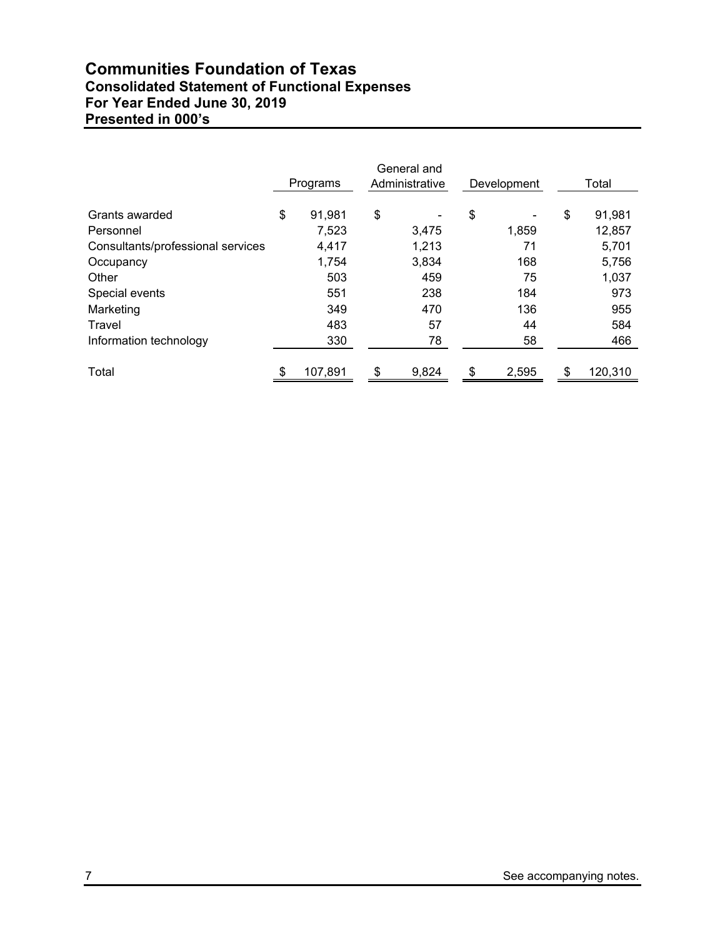# **Communities Foundation of Texas Consolidated Statement of Functional Expenses For Year Ended June 30, 2019 Presented in 000's**

|                                   | Programs      |     | General and<br>Administrative | Development |     | Total   |
|-----------------------------------|---------------|-----|-------------------------------|-------------|-----|---------|
| Grants awarded                    | \$<br>91,981  | \$  |                               | \$          | \$  | 91,981  |
| Personnel                         | 7,523         |     | 3,475                         | 1,859       |     | 12,857  |
| Consultants/professional services | 4,417         |     | 1,213                         | 71          |     | 5,701   |
| Occupancy                         | 1,754         |     | 3,834                         | 168         |     | 5,756   |
| Other                             | 503           |     | 459                           | 75          |     | 1,037   |
| Special events                    | 551           |     | 238                           | 184         |     | 973     |
| Marketing                         | 349           |     | 470                           | 136         |     | 955     |
| Travel                            | 483           |     | 57                            | 44          |     | 584     |
| Information technology            | 330           |     | 78                            | 58          |     | 466     |
| Total                             | \$<br>107,891 | \$. | 9,824                         | \$<br>2,595 | \$. | 120,310 |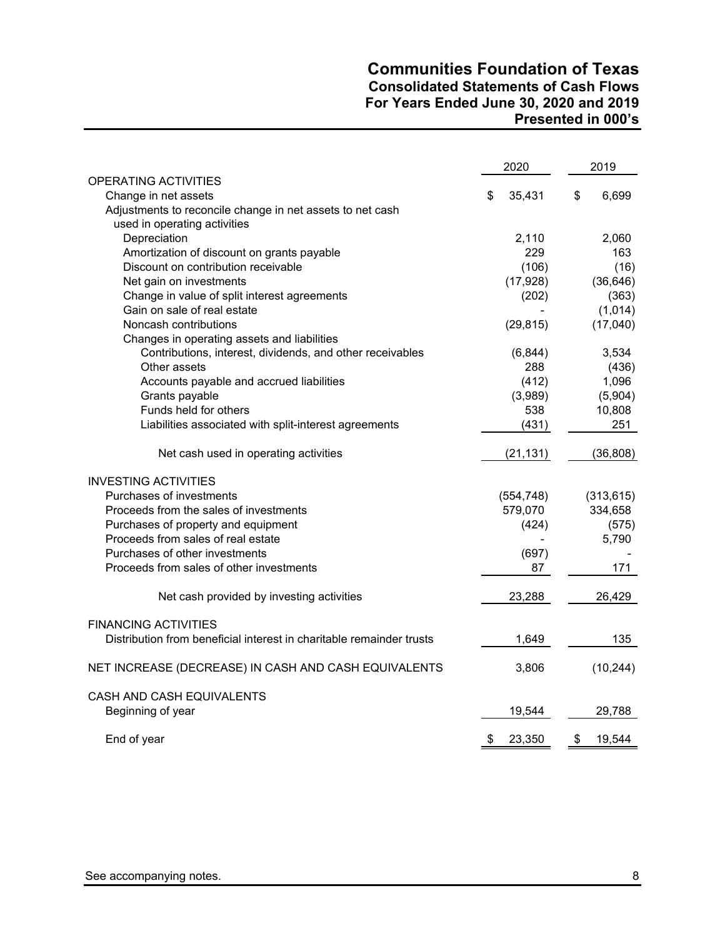# **Communities Foundation of Texas Consolidated Statements of Cash Flows For Years Ended June 30, 2020 and 2019 Presented in 000's**

|                                                                      | 2020         | 2019         |
|----------------------------------------------------------------------|--------------|--------------|
| OPERATING ACTIVITIES                                                 |              |              |
| Change in net assets                                                 | \$<br>35,431 | \$<br>6,699  |
| Adjustments to reconcile change in net assets to net cash            |              |              |
| used in operating activities<br>Depreciation                         | 2,110        | 2,060        |
| Amortization of discount on grants payable                           | 229          | 163          |
| Discount on contribution receivable                                  | (106)        | (16)         |
| Net gain on investments                                              | (17, 928)    | (36, 646)    |
| Change in value of split interest agreements                         | (202)        | (363)        |
| Gain on sale of real estate                                          |              | (1,014)      |
| Noncash contributions                                                | (29, 815)    | (17,040)     |
| Changes in operating assets and liabilities                          |              |              |
| Contributions, interest, dividends, and other receivables            | (6, 844)     | 3,534        |
| Other assets                                                         | 288          | (436)        |
| Accounts payable and accrued liabilities                             | (412)        | 1,096        |
| Grants payable                                                       | (3,989)      | (5,904)      |
| Funds held for others                                                | 538          | 10,808       |
| Liabilities associated with split-interest agreements                | (431)        | 251          |
|                                                                      |              |              |
| Net cash used in operating activities                                | (21, 131)    | (36, 808)    |
| <b>INVESTING ACTIVITIES</b>                                          |              |              |
| Purchases of investments                                             | (554, 748)   | (313, 615)   |
| Proceeds from the sales of investments                               | 579,070      | 334,658      |
| Purchases of property and equipment                                  | (424)        | (575)        |
| Proceeds from sales of real estate                                   |              | 5,790        |
| Purchases of other investments                                       | (697)        |              |
| Proceeds from sales of other investments                             | 87           | 171          |
| Net cash provided by investing activities                            | 23,288       | 26,429       |
| <b>FINANCING ACTIVITIES</b>                                          |              |              |
| Distribution from beneficial interest in charitable remainder trusts | 1,649        | 135          |
| NET INCREASE (DECREASE) IN CASH AND CASH EQUIVALENTS                 | 3,806        | (10, 244)    |
| CASH AND CASH EQUIVALENTS                                            |              |              |
| Beginning of year                                                    | 19,544       | 29,788       |
| End of year                                                          | \$<br>23,350 | \$<br>19,544 |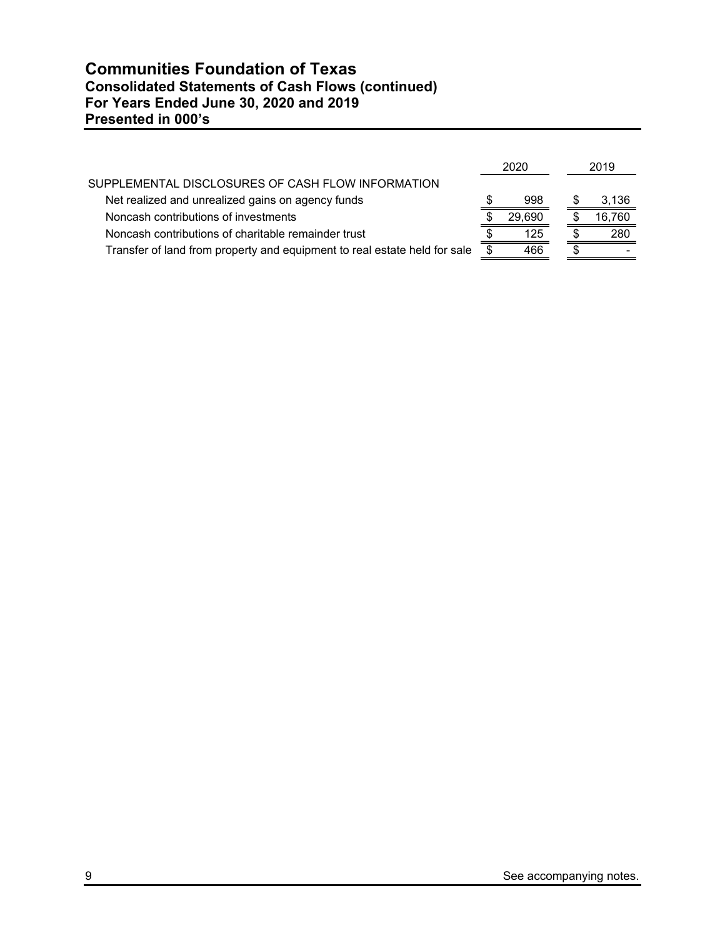|                                                                           | 2020 |        | 2019   |
|---------------------------------------------------------------------------|------|--------|--------|
| SUPPLEMENTAL DISCLOSURES OF CASH FLOW INFORMATION                         |      |        |        |
| Net realized and unrealized gains on agency funds                         |      | 998    | 3,136  |
| Noncash contributions of investments                                      |      | 29.690 | 16,760 |
| Noncash contributions of charitable remainder trust                       |      | 125    | 280    |
| Transfer of land from property and equipment to real estate held for sale |      | 466    |        |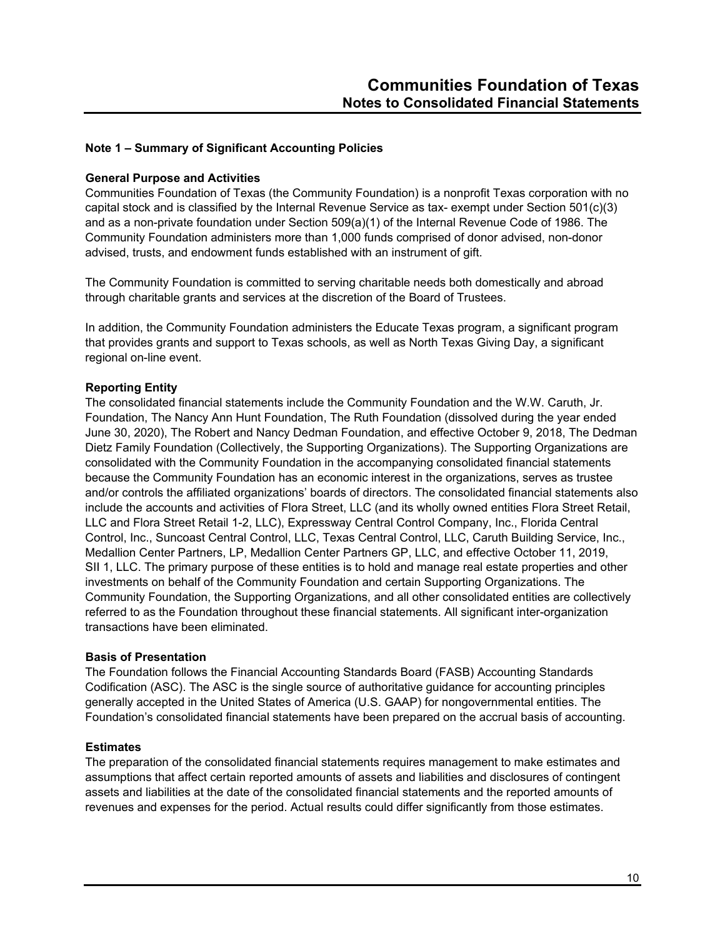# **Note 1 – Summary of Significant Accounting Policies**

#### **General Purpose and Activities**

Communities Foundation of Texas (the Community Foundation) is a nonprofit Texas corporation with no capital stock and is classified by the Internal Revenue Service as tax- exempt under Section 501(c)(3) and as a non-private foundation under Section 509(a)(1) of the Internal Revenue Code of 1986. The Community Foundation administers more than 1,000 funds comprised of donor advised, non-donor advised, trusts, and endowment funds established with an instrument of gift.

The Community Foundation is committed to serving charitable needs both domestically and abroad through charitable grants and services at the discretion of the Board of Trustees.

In addition, the Community Foundation administers the Educate Texas program, a significant program that provides grants and support to Texas schools, as well as North Texas Giving Day, a significant regional on-line event.

# **Reporting Entity**

The consolidated financial statements include the Community Foundation and the W.W. Caruth, Jr. Foundation, The Nancy Ann Hunt Foundation, The Ruth Foundation (dissolved during the year ended June 30, 2020), The Robert and Nancy Dedman Foundation, and effective October 9, 2018, The Dedman Dietz Family Foundation (Collectively, the Supporting Organizations). The Supporting Organizations are consolidated with the Community Foundation in the accompanying consolidated financial statements because the Community Foundation has an economic interest in the organizations, serves as trustee and/or controls the affiliated organizations' boards of directors. The consolidated financial statements also include the accounts and activities of Flora Street, LLC (and its wholly owned entities Flora Street Retail, LLC and Flora Street Retail 1-2, LLC), Expressway Central Control Company, Inc., Florida Central Control, Inc., Suncoast Central Control, LLC, Texas Central Control, LLC, Caruth Building Service, Inc., Medallion Center Partners, LP, Medallion Center Partners GP, LLC, and effective October 11, 2019, SII 1, LLC. The primary purpose of these entities is to hold and manage real estate properties and other investments on behalf of the Community Foundation and certain Supporting Organizations. The Community Foundation, the Supporting Organizations, and all other consolidated entities are collectively referred to as the Foundation throughout these financial statements. All significant inter-organization transactions have been eliminated.

## **Basis of Presentation**

The Foundation follows the Financial Accounting Standards Board (FASB) Accounting Standards Codification (ASC). The ASC is the single source of authoritative guidance for accounting principles generally accepted in the United States of America (U.S. GAAP) for nongovernmental entities. The Foundation's consolidated financial statements have been prepared on the accrual basis of accounting.

#### **Estimates**

The preparation of the consolidated financial statements requires management to make estimates and assumptions that affect certain reported amounts of assets and liabilities and disclosures of contingent assets and liabilities at the date of the consolidated financial statements and the reported amounts of revenues and expenses for the period. Actual results could differ significantly from those estimates.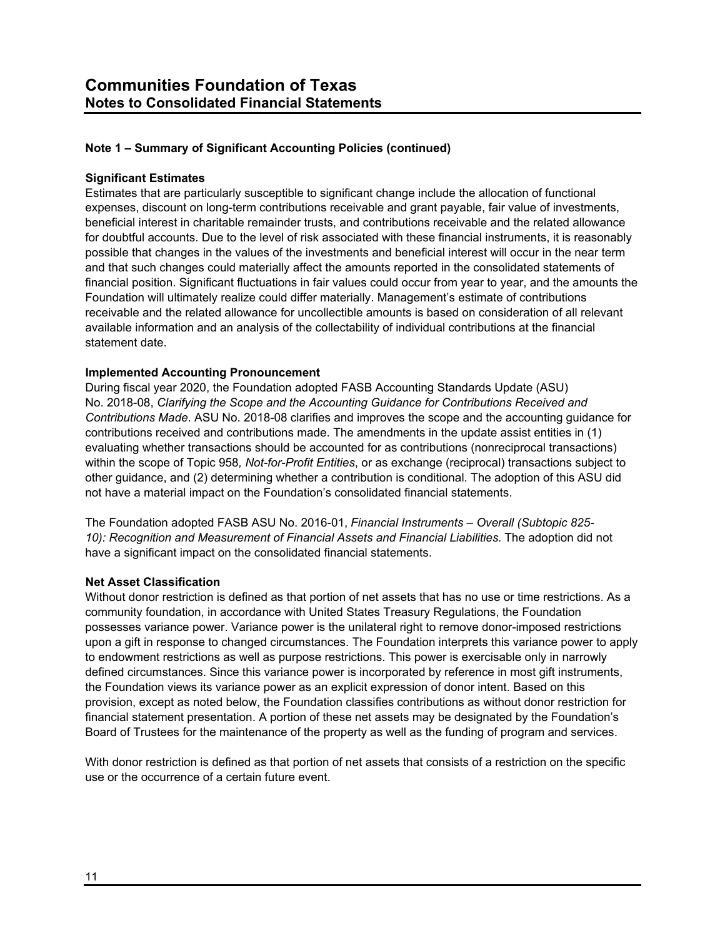## **Significant Estimates**

Estimates that are particularly susceptible to significant change include the allocation of functional expenses, discount on long-term contributions receivable and grant payable, fair value of investments, beneficial interest in charitable remainder trusts, and contributions receivable and the related allowance for doubtful accounts. Due to the level of risk associated with these financial instruments, it is reasonably possible that changes in the values of the investments and beneficial interest will occur in the near term and that such changes could materially affect the amounts reported in the consolidated statements of financial position. Significant fluctuations in fair values could occur from year to year, and the amounts the Foundation will ultimately realize could differ materially. Management's estimate of contributions receivable and the related allowance for uncollectible amounts is based on consideration of all relevant available information and an analysis of the collectability of individual contributions at the financial statement date.

#### **Implemented Accounting Pronouncement**

During fiscal year 2020, the Foundation adopted FASB Accounting Standards Update (ASU) No. 2018-08, *Clarifying the Scope and the Accounting Guidance for Contributions Received and Contributions Made*. ASU No. 2018-08 clarifies and improves the scope and the accounting guidance for contributions received and contributions made. The amendments in the update assist entities in (1) evaluating whether transactions should be accounted for as contributions (nonreciprocal transactions) within the scope of Topic 958*, Not-for-Profit Entities*, or as exchange (reciprocal) transactions subject to other guidance, and (2) determining whether a contribution is conditional. The adoption of this ASU did not have a material impact on the Foundation's consolidated financial statements.

The Foundation adopted FASB ASU No. 2016-01, *Financial Instruments – Overall (Subtopic 825- 10): Recognition and Measurement of Financial Assets and Financial Liabilities.* The adoption did not have a significant impact on the consolidated financial statements.

#### **Net Asset Classification**

Without donor restriction is defined as that portion of net assets that has no use or time restrictions. As a community foundation, in accordance with United States Treasury Regulations, the Foundation possesses variance power. Variance power is the unilateral right to remove donor-imposed restrictions upon a gift in response to changed circumstances. The Foundation interprets this variance power to apply to endowment restrictions as well as purpose restrictions. This power is exercisable only in narrowly defined circumstances. Since this variance power is incorporated by reference in most gift instruments, the Foundation views its variance power as an explicit expression of donor intent. Based on this provision, except as noted below, the Foundation classifies contributions as without donor restriction for financial statement presentation. A portion of these net assets may be designated by the Foundation's Board of Trustees for the maintenance of the property as well as the funding of program and services.

With donor restriction is defined as that portion of net assets that consists of a restriction on the specific use or the occurrence of a certain future event.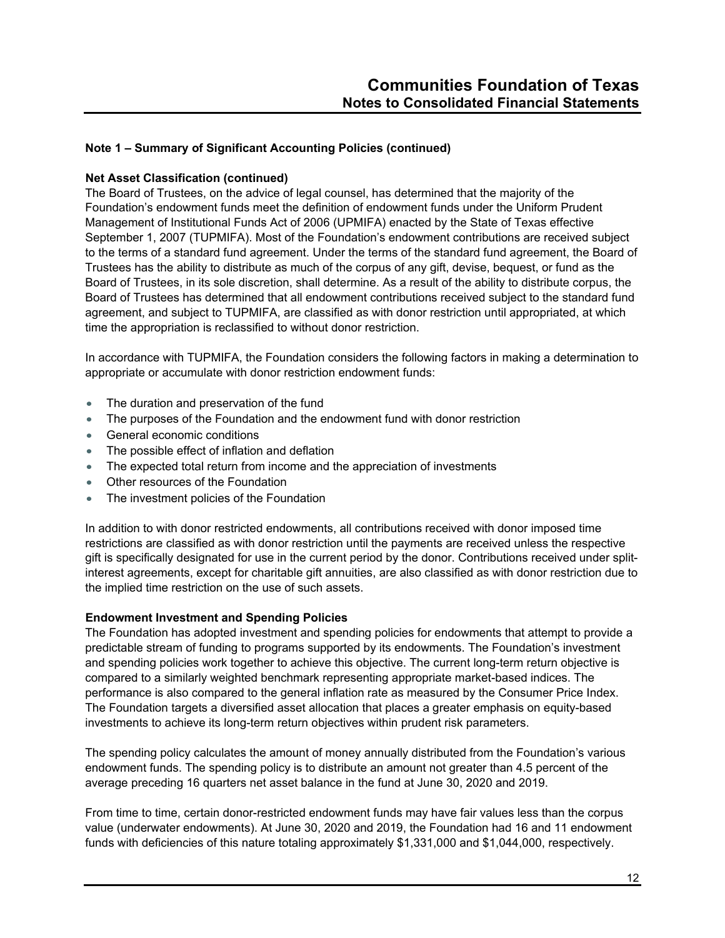#### **Net Asset Classification (continued)**

The Board of Trustees, on the advice of legal counsel, has determined that the majority of the Foundation's endowment funds meet the definition of endowment funds under the Uniform Prudent Management of Institutional Funds Act of 2006 (UPMIFA) enacted by the State of Texas effective September 1, 2007 (TUPMIFA). Most of the Foundation's endowment contributions are received subject to the terms of a standard fund agreement. Under the terms of the standard fund agreement, the Board of Trustees has the ability to distribute as much of the corpus of any gift, devise, bequest, or fund as the Board of Trustees, in its sole discretion, shall determine. As a result of the ability to distribute corpus, the Board of Trustees has determined that all endowment contributions received subject to the standard fund agreement, and subject to TUPMIFA, are classified as with donor restriction until appropriated, at which time the appropriation is reclassified to without donor restriction.

In accordance with TUPMIFA, the Foundation considers the following factors in making a determination to appropriate or accumulate with donor restriction endowment funds:

- The duration and preservation of the fund
- The purposes of the Foundation and the endowment fund with donor restriction
- General economic conditions
- The possible effect of inflation and deflation
- The expected total return from income and the appreciation of investments
- Other resources of the Foundation
- The investment policies of the Foundation

In addition to with donor restricted endowments, all contributions received with donor imposed time restrictions are classified as with donor restriction until the payments are received unless the respective gift is specifically designated for use in the current period by the donor. Contributions received under splitinterest agreements, except for charitable gift annuities, are also classified as with donor restriction due to the implied time restriction on the use of such assets.

#### **Endowment Investment and Spending Policies**

The Foundation has adopted investment and spending policies for endowments that attempt to provide a predictable stream of funding to programs supported by its endowments. The Foundation's investment and spending policies work together to achieve this objective. The current long-term return objective is compared to a similarly weighted benchmark representing appropriate market-based indices. The performance is also compared to the general inflation rate as measured by the Consumer Price Index. The Foundation targets a diversified asset allocation that places a greater emphasis on equity-based investments to achieve its long-term return objectives within prudent risk parameters.

The spending policy calculates the amount of money annually distributed from the Foundation's various endowment funds. The spending policy is to distribute an amount not greater than 4.5 percent of the average preceding 16 quarters net asset balance in the fund at June 30, 2020 and 2019.

From time to time, certain donor-restricted endowment funds may have fair values less than the corpus value (underwater endowments). At June 30, 2020 and 2019, the Foundation had 16 and 11 endowment funds with deficiencies of this nature totaling approximately \$1,331,000 and \$1,044,000, respectively.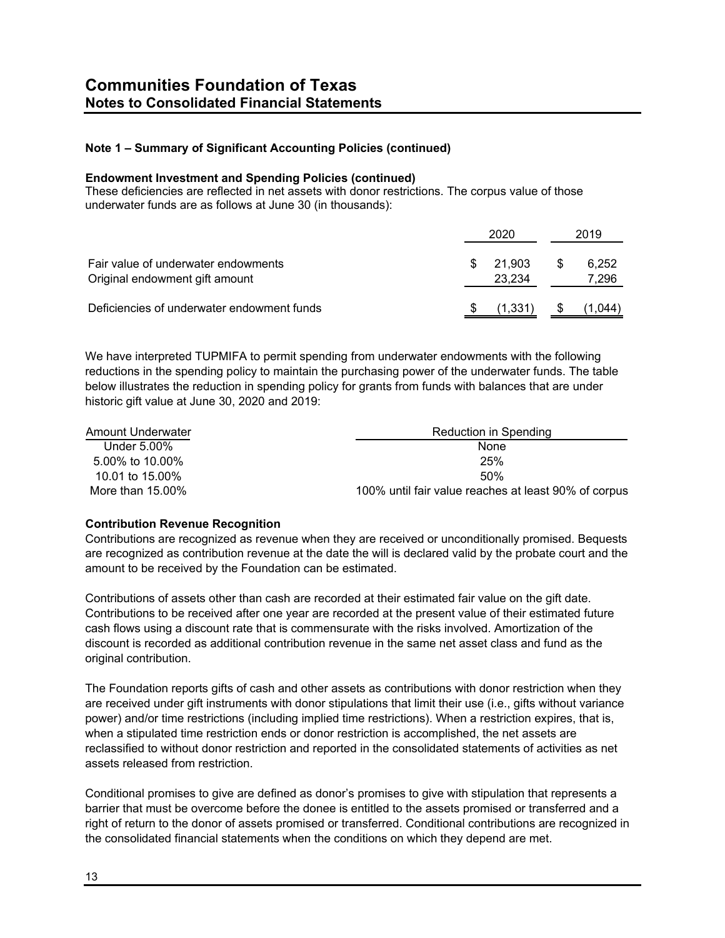#### **Endowment Investment and Spending Policies (continued)**

These deficiencies are reflected in net assets with donor restrictions. The corpus value of those underwater funds are as follows at June 30 (in thousands):

|                                                                       | 2020 |                  |    | 2019           |  |
|-----------------------------------------------------------------------|------|------------------|----|----------------|--|
| Fair value of underwater endowments<br>Original endowment gift amount | S    | 21.903<br>23.234 | S. | 6,252<br>7,296 |  |
| Deficiencies of underwater endowment funds                            |      | (1, 331)         |    | 1,044          |  |

We have interpreted TUPMIFA to permit spending from underwater endowments with the following reductions in the spending policy to maintain the purchasing power of the underwater funds. The table below illustrates the reduction in spending policy for grants from funds with balances that are under historic gift value at June 30, 2020 and 2019:

| Amount Underwater | Reduction in Spending                                |
|-------------------|------------------------------------------------------|
| Under 5.00%       | None                                                 |
| 5.00% to 10.00%   | 25%                                                  |
| 10.01 to 15.00%   | 50%                                                  |
| More than 15.00%  | 100% until fair value reaches at least 90% of corpus |

# **Contribution Revenue Recognition**

Contributions are recognized as revenue when they are received or unconditionally promised. Bequests are recognized as contribution revenue at the date the will is declared valid by the probate court and the amount to be received by the Foundation can be estimated.

Contributions of assets other than cash are recorded at their estimated fair value on the gift date. Contributions to be received after one year are recorded at the present value of their estimated future cash flows using a discount rate that is commensurate with the risks involved. Amortization of the discount is recorded as additional contribution revenue in the same net asset class and fund as the original contribution.

The Foundation reports gifts of cash and other assets as contributions with donor restriction when they are received under gift instruments with donor stipulations that limit their use (i.e., gifts without variance power) and/or time restrictions (including implied time restrictions). When a restriction expires, that is, when a stipulated time restriction ends or donor restriction is accomplished, the net assets are reclassified to without donor restriction and reported in the consolidated statements of activities as net assets released from restriction.

Conditional promises to give are defined as donor's promises to give with stipulation that represents a barrier that must be overcome before the donee is entitled to the assets promised or transferred and a right of return to the donor of assets promised or transferred. Conditional contributions are recognized in the consolidated financial statements when the conditions on which they depend are met.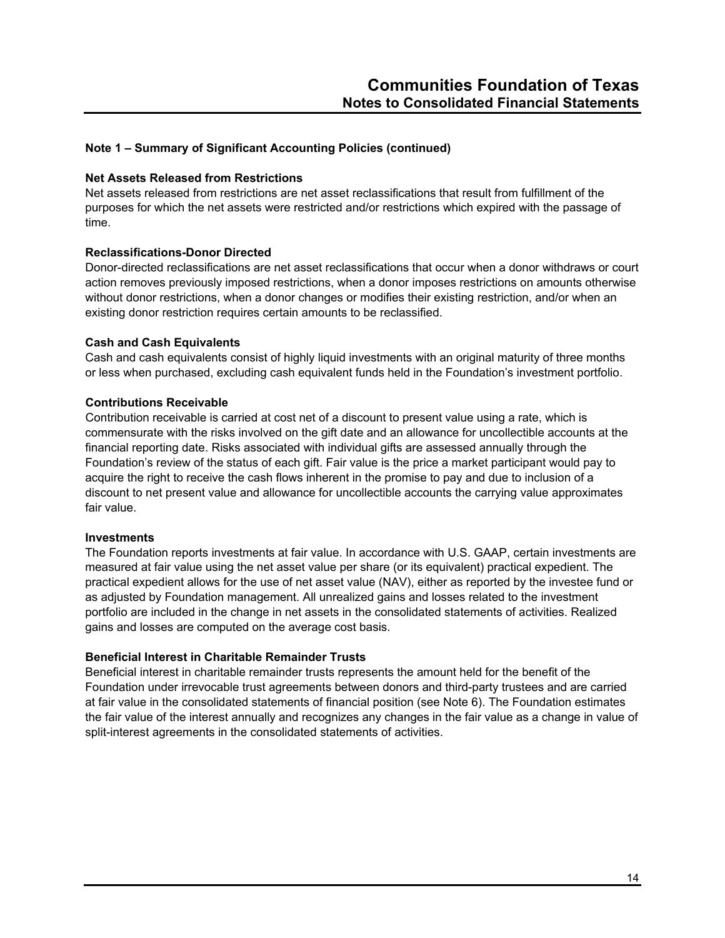#### **Net Assets Released from Restrictions**

Net assets released from restrictions are net asset reclassifications that result from fulfillment of the purposes for which the net assets were restricted and/or restrictions which expired with the passage of time.

# **Reclassifications-Donor Directed**

Donor-directed reclassifications are net asset reclassifications that occur when a donor withdraws or court action removes previously imposed restrictions, when a donor imposes restrictions on amounts otherwise without donor restrictions, when a donor changes or modifies their existing restriction, and/or when an existing donor restriction requires certain amounts to be reclassified.

#### **Cash and Cash Equivalents**

Cash and cash equivalents consist of highly liquid investments with an original maturity of three months or less when purchased, excluding cash equivalent funds held in the Foundation's investment portfolio.

#### **Contributions Receivable**

Contribution receivable is carried at cost net of a discount to present value using a rate, which is commensurate with the risks involved on the gift date and an allowance for uncollectible accounts at the financial reporting date. Risks associated with individual gifts are assessed annually through the Foundation's review of the status of each gift. Fair value is the price a market participant would pay to acquire the right to receive the cash flows inherent in the promise to pay and due to inclusion of a discount to net present value and allowance for uncollectible accounts the carrying value approximates fair value.

#### **Investments**

The Foundation reports investments at fair value. In accordance with U.S. GAAP, certain investments are measured at fair value using the net asset value per share (or its equivalent) practical expedient. The practical expedient allows for the use of net asset value (NAV), either as reported by the investee fund or as adjusted by Foundation management. All unrealized gains and losses related to the investment portfolio are included in the change in net assets in the consolidated statements of activities. Realized gains and losses are computed on the average cost basis.

# **Beneficial Interest in Charitable Remainder Trusts**

Beneficial interest in charitable remainder trusts represents the amount held for the benefit of the Foundation under irrevocable trust agreements between donors and third-party trustees and are carried at fair value in the consolidated statements of financial position (see Note 6). The Foundation estimates the fair value of the interest annually and recognizes any changes in the fair value as a change in value of split-interest agreements in the consolidated statements of activities.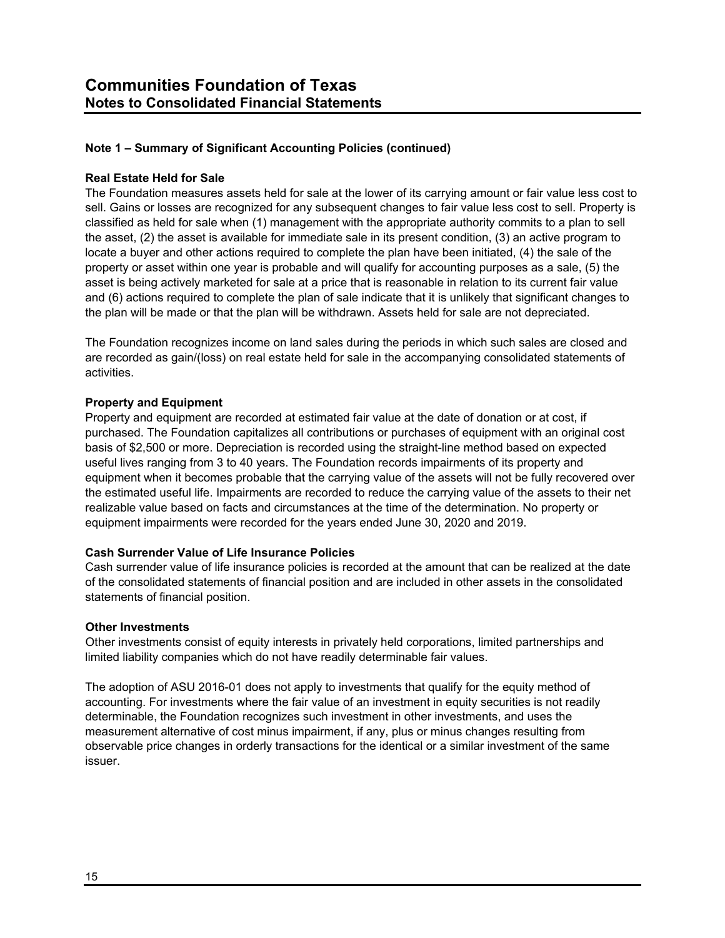## **Real Estate Held for Sale**

The Foundation measures assets held for sale at the lower of its carrying amount or fair value less cost to sell. Gains or losses are recognized for any subsequent changes to fair value less cost to sell. Property is classified as held for sale when (1) management with the appropriate authority commits to a plan to sell the asset, (2) the asset is available for immediate sale in its present condition, (3) an active program to locate a buyer and other actions required to complete the plan have been initiated, (4) the sale of the property or asset within one year is probable and will qualify for accounting purposes as a sale, (5) the asset is being actively marketed for sale at a price that is reasonable in relation to its current fair value and (6) actions required to complete the plan of sale indicate that it is unlikely that significant changes to the plan will be made or that the plan will be withdrawn. Assets held for sale are not depreciated.

The Foundation recognizes income on land sales during the periods in which such sales are closed and are recorded as gain/(loss) on real estate held for sale in the accompanying consolidated statements of activities.

#### **Property and Equipment**

Property and equipment are recorded at estimated fair value at the date of donation or at cost, if purchased. The Foundation capitalizes all contributions or purchases of equipment with an original cost basis of \$2,500 or more. Depreciation is recorded using the straight-line method based on expected useful lives ranging from 3 to 40 years. The Foundation records impairments of its property and equipment when it becomes probable that the carrying value of the assets will not be fully recovered over the estimated useful life. Impairments are recorded to reduce the carrying value of the assets to their net realizable value based on facts and circumstances at the time of the determination. No property or equipment impairments were recorded for the years ended June 30, 2020 and 2019.

#### **Cash Surrender Value of Life Insurance Policies**

Cash surrender value of life insurance policies is recorded at the amount that can be realized at the date of the consolidated statements of financial position and are included in other assets in the consolidated statements of financial position.

#### **Other Investments**

Other investments consist of equity interests in privately held corporations, limited partnerships and limited liability companies which do not have readily determinable fair values.

The adoption of ASU 2016-01 does not apply to investments that qualify for the equity method of accounting. For investments where the fair value of an investment in equity securities is not readily determinable, the Foundation recognizes such investment in other investments, and uses the measurement alternative of cost minus impairment, if any, plus or minus changes resulting from observable price changes in orderly transactions for the identical or a similar investment of the same issuer.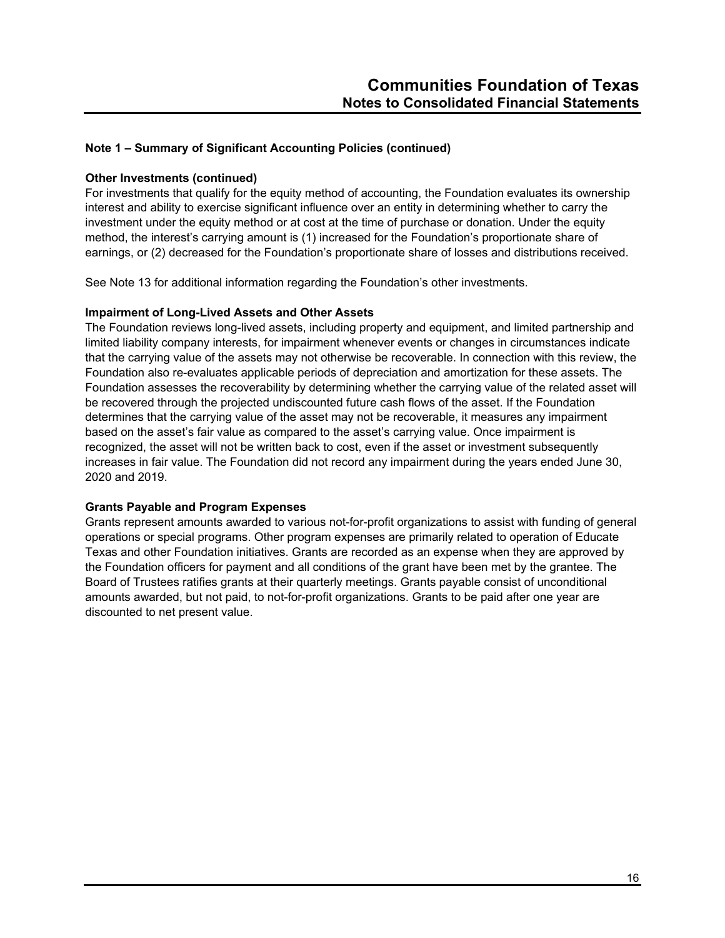#### **Other Investments (continued)**

For investments that qualify for the equity method of accounting, the Foundation evaluates its ownership interest and ability to exercise significant influence over an entity in determining whether to carry the investment under the equity method or at cost at the time of purchase or donation. Under the equity method, the interest's carrying amount is (1) increased for the Foundation's proportionate share of earnings, or (2) decreased for the Foundation's proportionate share of losses and distributions received.

See Note 13 for additional information regarding the Foundation's other investments.

#### **Impairment of Long-Lived Assets and Other Assets**

The Foundation reviews long-lived assets, including property and equipment, and limited partnership and limited liability company interests, for impairment whenever events or changes in circumstances indicate that the carrying value of the assets may not otherwise be recoverable. In connection with this review, the Foundation also re-evaluates applicable periods of depreciation and amortization for these assets. The Foundation assesses the recoverability by determining whether the carrying value of the related asset will be recovered through the projected undiscounted future cash flows of the asset. If the Foundation determines that the carrying value of the asset may not be recoverable, it measures any impairment based on the asset's fair value as compared to the asset's carrying value. Once impairment is recognized, the asset will not be written back to cost, even if the asset or investment subsequently increases in fair value. The Foundation did not record any impairment during the years ended June 30, 2020 and 2019.

# **Grants Payable and Program Expenses**

Grants represent amounts awarded to various not-for-profit organizations to assist with funding of general operations or special programs. Other program expenses are primarily related to operation of Educate Texas and other Foundation initiatives. Grants are recorded as an expense when they are approved by the Foundation officers for payment and all conditions of the grant have been met by the grantee. The Board of Trustees ratifies grants at their quarterly meetings. Grants payable consist of unconditional amounts awarded, but not paid, to not-for-profit organizations. Grants to be paid after one year are discounted to net present value.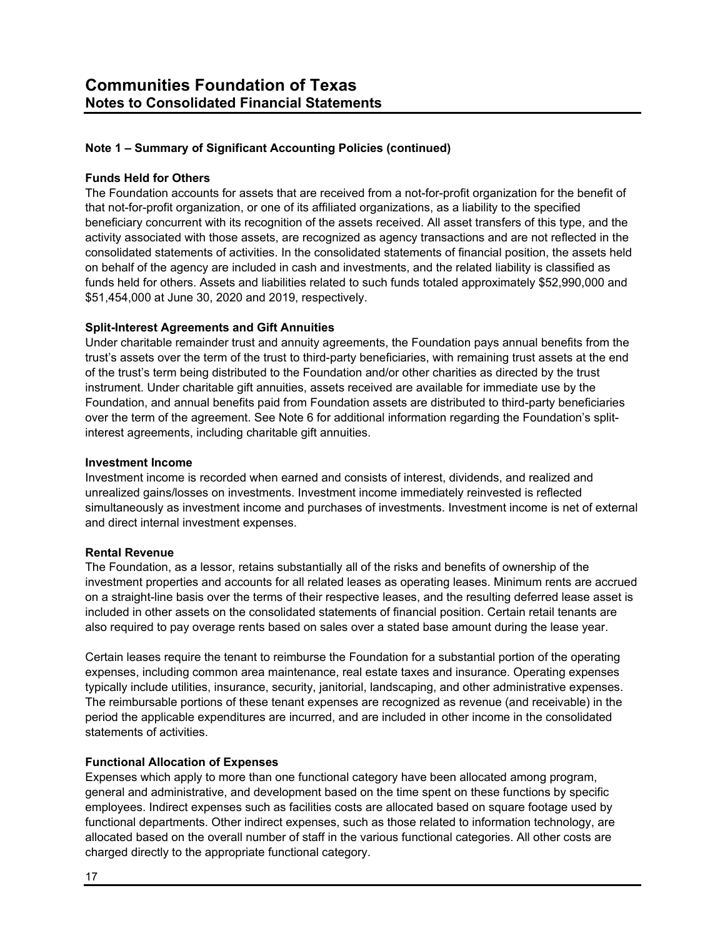## **Funds Held for Others**

The Foundation accounts for assets that are received from a not-for-profit organization for the benefit of that not-for-profit organization, or one of its affiliated organizations, as a liability to the specified beneficiary concurrent with its recognition of the assets received. All asset transfers of this type, and the activity associated with those assets, are recognized as agency transactions and are not reflected in the consolidated statements of activities. In the consolidated statements of financial position, the assets held on behalf of the agency are included in cash and investments, and the related liability is classified as funds held for others. Assets and liabilities related to such funds totaled approximately \$52,990,000 and \$51,454,000 at June 30, 2020 and 2019, respectively.

# **Split-Interest Agreements and Gift Annuities**

Under charitable remainder trust and annuity agreements, the Foundation pays annual benefits from the trust's assets over the term of the trust to third-party beneficiaries, with remaining trust assets at the end of the trust's term being distributed to the Foundation and/or other charities as directed by the trust instrument. Under charitable gift annuities, assets received are available for immediate use by the Foundation, and annual benefits paid from Foundation assets are distributed to third-party beneficiaries over the term of the agreement. See Note 6 for additional information regarding the Foundation's splitinterest agreements, including charitable gift annuities.

#### **Investment Income**

Investment income is recorded when earned and consists of interest, dividends, and realized and unrealized gains/losses on investments. Investment income immediately reinvested is reflected simultaneously as investment income and purchases of investments. Investment income is net of external and direct internal investment expenses.

#### **Rental Revenue**

The Foundation, as a lessor, retains substantially all of the risks and benefits of ownership of the investment properties and accounts for all related leases as operating leases. Minimum rents are accrued on a straight-line basis over the terms of their respective leases, and the resulting deferred lease asset is included in other assets on the consolidated statements of financial position. Certain retail tenants are also required to pay overage rents based on sales over a stated base amount during the lease year.

Certain leases require the tenant to reimburse the Foundation for a substantial portion of the operating expenses, including common area maintenance, real estate taxes and insurance. Operating expenses typically include utilities, insurance, security, janitorial, landscaping, and other administrative expenses. The reimbursable portions of these tenant expenses are recognized as revenue (and receivable) in the period the applicable expenditures are incurred, and are included in other income in the consolidated statements of activities.

# **Functional Allocation of Expenses**

Expenses which apply to more than one functional category have been allocated among program, general and administrative, and development based on the time spent on these functions by specific employees. Indirect expenses such as facilities costs are allocated based on square footage used by functional departments. Other indirect expenses, such as those related to information technology, are allocated based on the overall number of staff in the various functional categories. All other costs are charged directly to the appropriate functional category.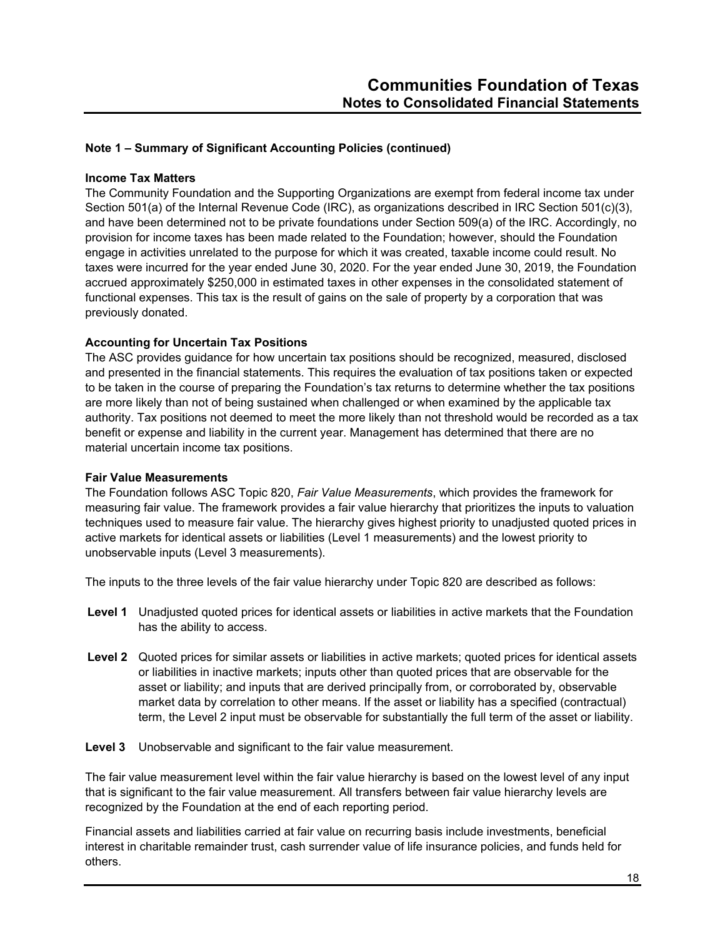#### **Income Tax Matters**

The Community Foundation and the Supporting Organizations are exempt from federal income tax under Section 501(a) of the Internal Revenue Code (IRC), as organizations described in IRC Section 501(c)(3), and have been determined not to be private foundations under Section 509(a) of the IRC. Accordingly, no provision for income taxes has been made related to the Foundation; however, should the Foundation engage in activities unrelated to the purpose for which it was created, taxable income could result. No taxes were incurred for the year ended June 30, 2020. For the year ended June 30, 2019, the Foundation accrued approximately \$250,000 in estimated taxes in other expenses in the consolidated statement of functional expenses. This tax is the result of gains on the sale of property by a corporation that was previously donated.

# **Accounting for Uncertain Tax Positions**

The ASC provides guidance for how uncertain tax positions should be recognized, measured, disclosed and presented in the financial statements. This requires the evaluation of tax positions taken or expected to be taken in the course of preparing the Foundation's tax returns to determine whether the tax positions are more likely than not of being sustained when challenged or when examined by the applicable tax authority. Tax positions not deemed to meet the more likely than not threshold would be recorded as a tax benefit or expense and liability in the current year. Management has determined that there are no material uncertain income tax positions.

#### **Fair Value Measurements**

The Foundation follows ASC Topic 820, *Fair Value Measurements*, which provides the framework for measuring fair value. The framework provides a fair value hierarchy that prioritizes the inputs to valuation techniques used to measure fair value. The hierarchy gives highest priority to unadjusted quoted prices in active markets for identical assets or liabilities (Level 1 measurements) and the lowest priority to unobservable inputs (Level 3 measurements).

The inputs to the three levels of the fair value hierarchy under Topic 820 are described as follows:

- **Level 1** Unadjusted quoted prices for identical assets or liabilities in active markets that the Foundation has the ability to access.
- **Level 2** Quoted prices for similar assets or liabilities in active markets; quoted prices for identical assets or liabilities in inactive markets; inputs other than quoted prices that are observable for the asset or liability; and inputs that are derived principally from, or corroborated by, observable market data by correlation to other means. If the asset or liability has a specified (contractual) term, the Level 2 input must be observable for substantially the full term of the asset or liability.

**Level 3** Unobservable and significant to the fair value measurement.

The fair value measurement level within the fair value hierarchy is based on the lowest level of any input that is significant to the fair value measurement. All transfers between fair value hierarchy levels are recognized by the Foundation at the end of each reporting period.

Financial assets and liabilities carried at fair value on recurring basis include investments, beneficial interest in charitable remainder trust, cash surrender value of life insurance policies, and funds held for others.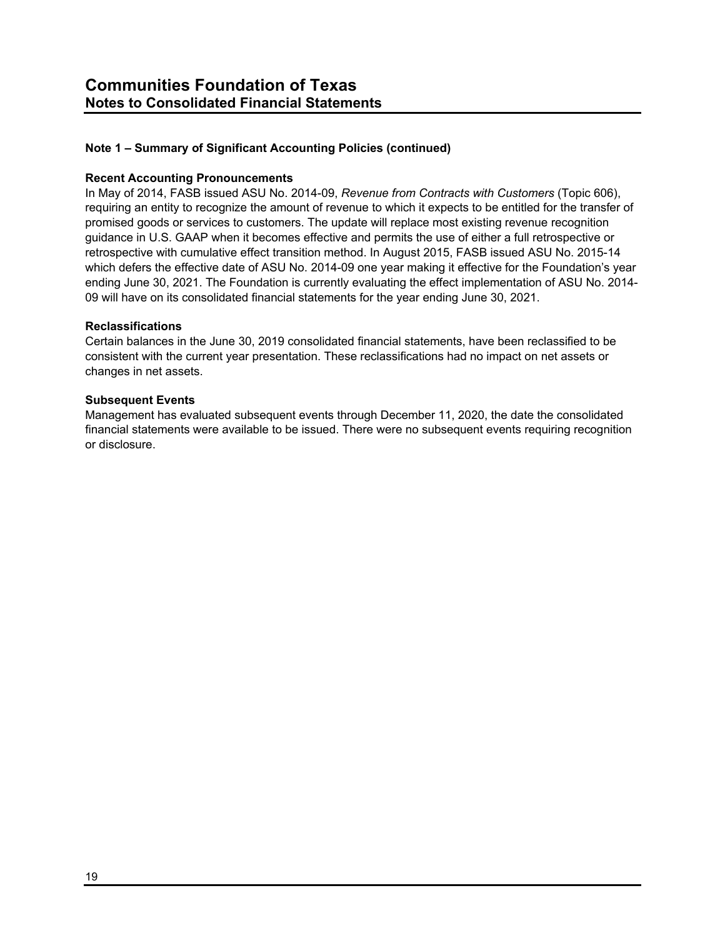#### **Recent Accounting Pronouncements**

In May of 2014, FASB issued ASU No. 2014-09, *Revenue from Contracts with Customers* (Topic 606), requiring an entity to recognize the amount of revenue to which it expects to be entitled for the transfer of promised goods or services to customers. The update will replace most existing revenue recognition guidance in U.S. GAAP when it becomes effective and permits the use of either a full retrospective or retrospective with cumulative effect transition method. In August 2015, FASB issued ASU No. 2015-14 which defers the effective date of ASU No. 2014-09 one year making it effective for the Foundation's year ending June 30, 2021. The Foundation is currently evaluating the effect implementation of ASU No. 2014- 09 will have on its consolidated financial statements for the year ending June 30, 2021.

# **Reclassifications**

Certain balances in the June 30, 2019 consolidated financial statements, have been reclassified to be consistent with the current year presentation. These reclassifications had no impact on net assets or changes in net assets.

#### **Subsequent Events**

Management has evaluated subsequent events through December 11, 2020, the date the consolidated financial statements were available to be issued. There were no subsequent events requiring recognition or disclosure.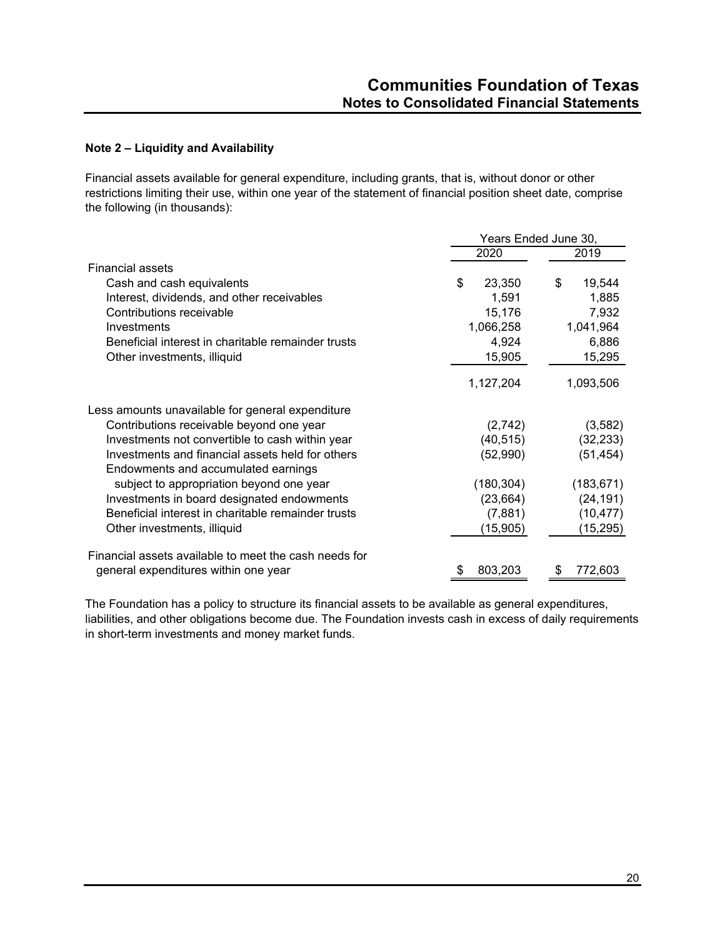# **Note 2 – Liquidity and Availability**

Financial assets available for general expenditure, including grants, that is, without donor or other restrictions limiting their use, within one year of the statement of financial position sheet date, comprise the following (in thousands):

|                                                                                         | Years Ended June 30, |              |  |  |
|-----------------------------------------------------------------------------------------|----------------------|--------------|--|--|
|                                                                                         | 2020                 | 2019         |  |  |
| <b>Financial assets</b>                                                                 |                      |              |  |  |
| Cash and cash equivalents                                                               | \$<br>23,350         | 19,544<br>\$ |  |  |
| Interest, dividends, and other receivables                                              | 1,591                | 1,885        |  |  |
| Contributions receivable                                                                | 15,176               | 7,932        |  |  |
| Investments                                                                             | 1,066,258            | 1,041,964    |  |  |
| Beneficial interest in charitable remainder trusts                                      | 4,924                | 6,886        |  |  |
| Other investments, illiquid                                                             | 15,905               | 15,295       |  |  |
|                                                                                         | 1,127,204            | 1,093,506    |  |  |
| Less amounts unavailable for general expenditure                                        |                      |              |  |  |
| Contributions receivable beyond one year                                                | (2,742)              | (3,582)      |  |  |
| Investments not convertible to cash within year                                         | (40, 515)            | (32, 233)    |  |  |
| Investments and financial assets held for others<br>Endowments and accumulated earnings | (52,990)             | (51, 454)    |  |  |
| subject to appropriation beyond one year                                                | (180, 304)           | (183, 671)   |  |  |
| Investments in board designated endowments                                              | (23, 664)            | (24, 191)    |  |  |
| Beneficial interest in charitable remainder trusts                                      | (7,881)              | (10, 477)    |  |  |
| Other investments, illiquid                                                             | (15,905)             | (15,295)     |  |  |
| Financial assets available to meet the cash needs for                                   |                      |              |  |  |
| general expenditures within one year                                                    | 803,203              | 772,603      |  |  |

The Foundation has a policy to structure its financial assets to be available as general expenditures, liabilities, and other obligations become due. The Foundation invests cash in excess of daily requirements in short-term investments and money market funds.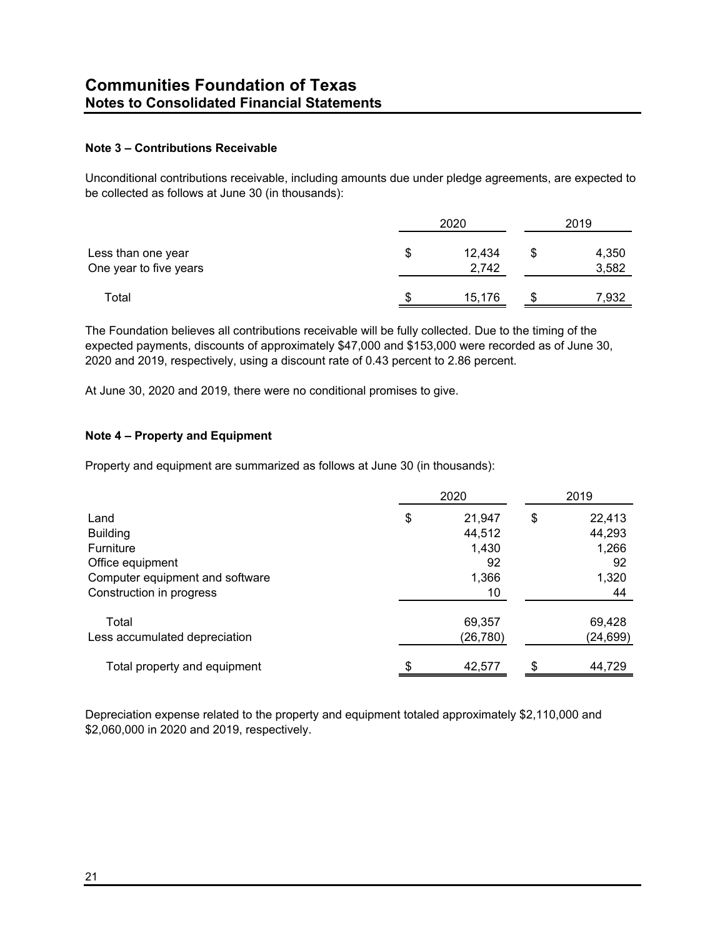# **Note 3 – Contributions Receivable**

Unconditional contributions receivable, including amounts due under pledge agreements, are expected to be collected as follows at June 30 (in thousands):

|                                              | 2020 |                 |  | 2019           |  |  |
|----------------------------------------------|------|-----------------|--|----------------|--|--|
| Less than one year<br>One year to five years | S    | 12,434<br>2,742 |  | 4,350<br>3,582 |  |  |
| Total                                        | S    | 15,176          |  | 7,932          |  |  |

The Foundation believes all contributions receivable will be fully collected. Due to the timing of the expected payments, discounts of approximately \$47,000 and \$153,000 were recorded as of June 30, 2020 and 2019, respectively, using a discount rate of 0.43 percent to 2.86 percent.

At June 30, 2020 and 2019, there were no conditional promises to give.

# **Note 4 – Property and Equipment**

Property and equipment are summarized as follows at June 30 (in thousands):

|                                 | 2020 |           |    | 2019      |  |
|---------------------------------|------|-----------|----|-----------|--|
| Land                            | \$   | 21,947    | \$ | 22,413    |  |
| <b>Building</b>                 |      | 44,512    |    | 44,293    |  |
| Furniture                       |      | 1,430     |    | 1,266     |  |
| Office equipment                |      | 92        |    | 92        |  |
| Computer equipment and software |      | 1,366     |    | 1,320     |  |
| Construction in progress        |      | 10        |    | 44        |  |
| Total                           |      | 69,357    |    | 69,428    |  |
| Less accumulated depreciation   |      | (26, 780) |    | (24, 699) |  |
| Total property and equipment    |      | 42,577    |    | 44,729    |  |

Depreciation expense related to the property and equipment totaled approximately \$2,110,000 and \$2,060,000 in 2020 and 2019, respectively.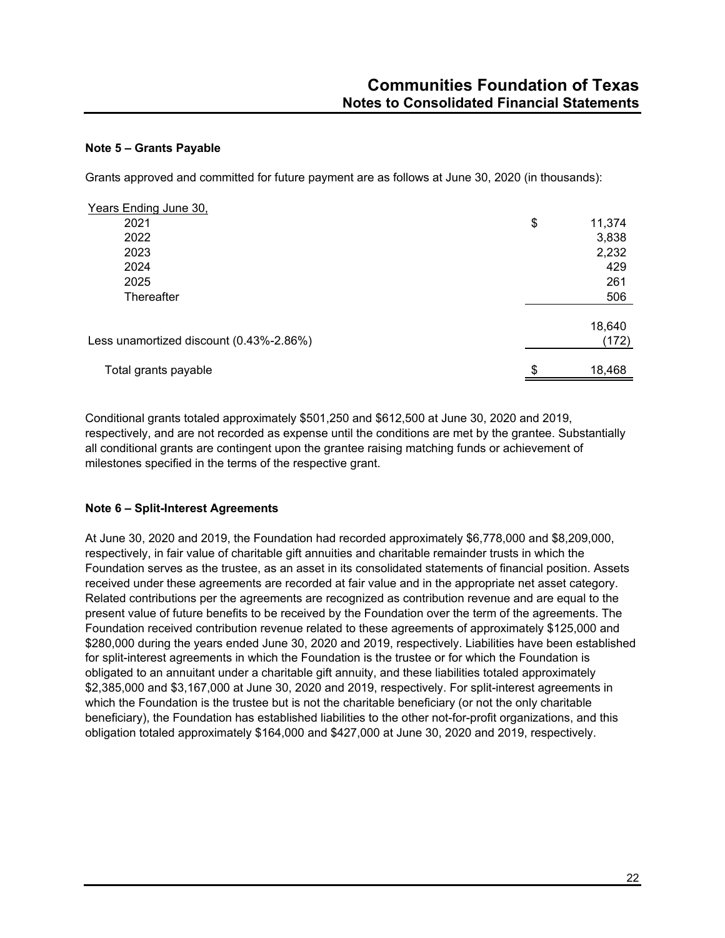## **Note 5 – Grants Payable**

Grants approved and committed for future payment are as follows at June 30, 2020 (in thousands):

| Years Ending June 30,                   |                 |
|-----------------------------------------|-----------------|
| 2021                                    | \$<br>11,374    |
| 2022                                    | 3,838           |
| 2023                                    | 2,232           |
| 2024                                    | 429             |
| 2025                                    | 261             |
| Thereafter                              | 506             |
| Less unamortized discount (0.43%-2.86%) | 18,640<br>(172) |
| Total grants payable                    | 18,468          |

Conditional grants totaled approximately \$501,250 and \$612,500 at June 30, 2020 and 2019, respectively, and are not recorded as expense until the conditions are met by the grantee. Substantially all conditional grants are contingent upon the grantee raising matching funds or achievement of milestones specified in the terms of the respective grant.

# **Note 6 – Split-Interest Agreements**

At June 30, 2020 and 2019, the Foundation had recorded approximately \$6,778,000 and \$8,209,000, respectively, in fair value of charitable gift annuities and charitable remainder trusts in which the Foundation serves as the trustee, as an asset in its consolidated statements of financial position. Assets received under these agreements are recorded at fair value and in the appropriate net asset category. Related contributions per the agreements are recognized as contribution revenue and are equal to the present value of future benefits to be received by the Foundation over the term of the agreements. The Foundation received contribution revenue related to these agreements of approximately \$125,000 and \$280,000 during the years ended June 30, 2020 and 2019, respectively. Liabilities have been established for split-interest agreements in which the Foundation is the trustee or for which the Foundation is obligated to an annuitant under a charitable gift annuity, and these liabilities totaled approximately \$2,385,000 and \$3,167,000 at June 30, 2020 and 2019, respectively. For split-interest agreements in which the Foundation is the trustee but is not the charitable beneficiary (or not the only charitable beneficiary), the Foundation has established liabilities to the other not-for-profit organizations, and this obligation totaled approximately \$164,000 and \$427,000 at June 30, 2020 and 2019, respectively.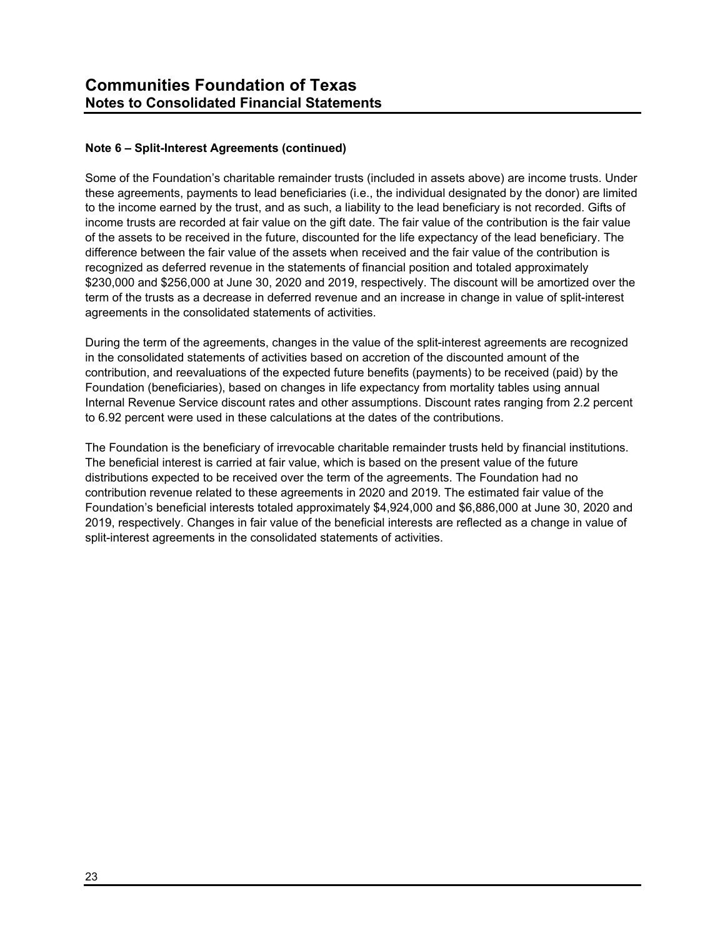# **Note 6 – Split-Interest Agreements (continued)**

Some of the Foundation's charitable remainder trusts (included in assets above) are income trusts. Under these agreements, payments to lead beneficiaries (i.e., the individual designated by the donor) are limited to the income earned by the trust, and as such, a liability to the lead beneficiary is not recorded. Gifts of income trusts are recorded at fair value on the gift date. The fair value of the contribution is the fair value of the assets to be received in the future, discounted for the life expectancy of the lead beneficiary. The difference between the fair value of the assets when received and the fair value of the contribution is recognized as deferred revenue in the statements of financial position and totaled approximately \$230,000 and \$256,000 at June 30, 2020 and 2019, respectively. The discount will be amortized over the term of the trusts as a decrease in deferred revenue and an increase in change in value of split-interest agreements in the consolidated statements of activities.

During the term of the agreements, changes in the value of the split-interest agreements are recognized in the consolidated statements of activities based on accretion of the discounted amount of the contribution, and reevaluations of the expected future benefits (payments) to be received (paid) by the Foundation (beneficiaries), based on changes in life expectancy from mortality tables using annual Internal Revenue Service discount rates and other assumptions. Discount rates ranging from 2.2 percent to 6.92 percent were used in these calculations at the dates of the contributions.

The Foundation is the beneficiary of irrevocable charitable remainder trusts held by financial institutions. The beneficial interest is carried at fair value, which is based on the present value of the future distributions expected to be received over the term of the agreements. The Foundation had no contribution revenue related to these agreements in 2020 and 2019. The estimated fair value of the Foundation's beneficial interests totaled approximately \$4,924,000 and \$6,886,000 at June 30, 2020 and 2019, respectively. Changes in fair value of the beneficial interests are reflected as a change in value of split-interest agreements in the consolidated statements of activities.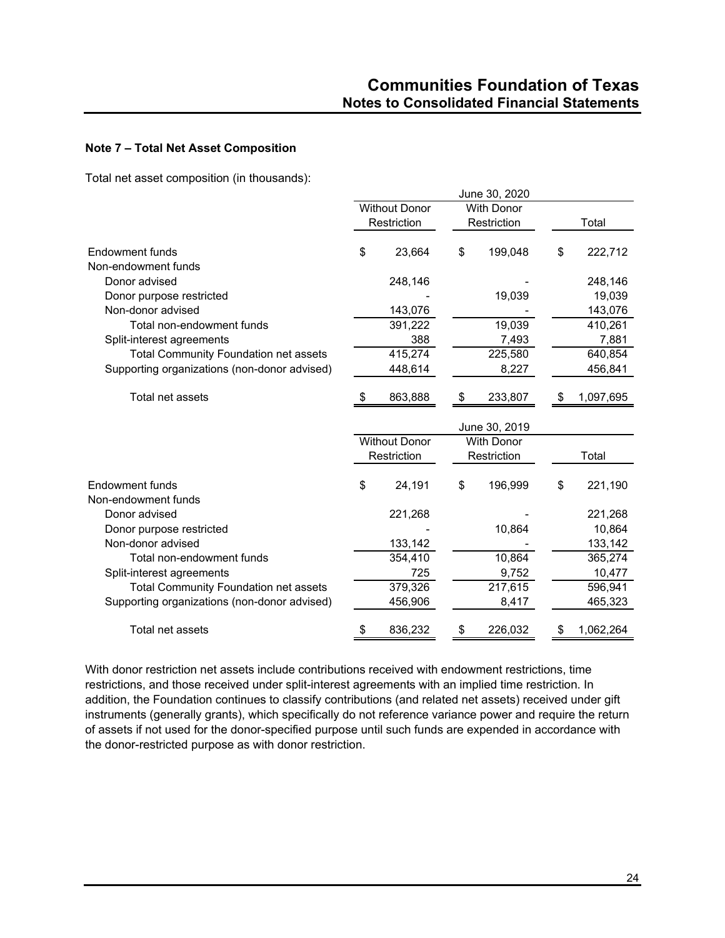# **Note 7 – Total Net Asset Composition**

Total net asset composition (in thousands):

|                                              |                      |                      | June 30, 2020     |                 |
|----------------------------------------------|----------------------|----------------------|-------------------|-----------------|
|                                              | <b>Without Donor</b> |                      | <b>With Donor</b> |                 |
|                                              |                      | Restriction          | Restriction       | Total           |
| Endowment funds                              | \$                   | 23,664               | \$<br>199,048     | \$<br>222,712   |
| Non-endowment funds                          |                      |                      |                   |                 |
| Donor advised                                |                      | 248,146              |                   | 248,146         |
| Donor purpose restricted                     |                      |                      | 19,039            | 19,039          |
| Non-donor advised                            |                      | 143,076              |                   | 143,076         |
| Total non-endowment funds                    |                      | 391,222              | 19,039            | 410,261         |
| Split-interest agreements                    |                      | 388                  | 7,493             | 7,881           |
| <b>Total Community Foundation net assets</b> |                      | 415,274              | 225,580           | 640,854         |
| Supporting organizations (non-donor advised) |                      | 448,614              | 8,227             | 456,841         |
| Total net assets                             | \$                   | 863,888              | \$<br>233,807     | \$<br>1,097,695 |
|                                              |                      |                      | June 30, 2019     |                 |
|                                              |                      | <b>Without Donor</b> | <b>With Donor</b> |                 |
|                                              |                      | Restriction          | Restriction       | Total           |
| Endowment funds                              | \$                   | 24,191               | \$<br>196,999     | \$<br>221,190   |
| Non-endowment funds                          |                      |                      |                   |                 |
| Donor advised                                |                      | 221,268              |                   | 221,268         |
| Donor purpose restricted                     |                      |                      | 10,864            | 10,864          |
| Non-donor advised                            |                      | 133,142              |                   | 133,142         |
| Total non-endowment funds                    |                      | 354,410              | 10,864            | 365,274         |
| Split-interest agreements                    |                      | 725                  | 9,752             | 10,477          |
| <b>Total Community Foundation net assets</b> |                      | 379,326              | 217,615           | 596,941         |
| Supporting organizations (non-donor advised) |                      | 456,906              | 8,417             | 465,323         |
| Total net assets                             | \$                   | 836,232              | \$<br>226,032     | \$<br>1,062,264 |

With donor restriction net assets include contributions received with endowment restrictions, time restrictions, and those received under split-interest agreements with an implied time restriction. In addition, the Foundation continues to classify contributions (and related net assets) received under gift instruments (generally grants), which specifically do not reference variance power and require the return of assets if not used for the donor-specified purpose until such funds are expended in accordance with the donor-restricted purpose as with donor restriction.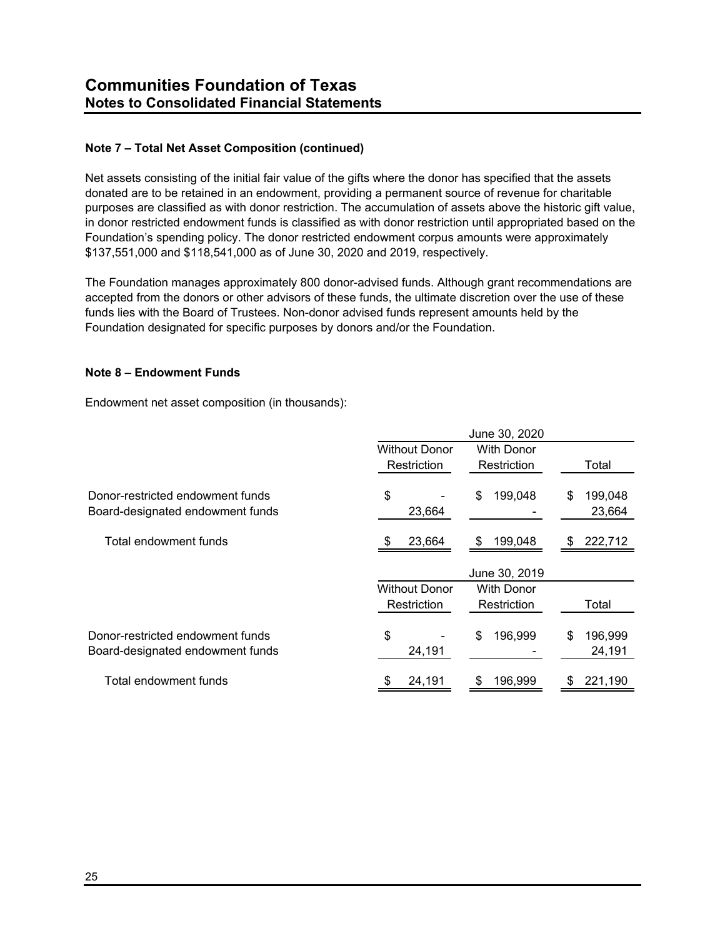# **Note 7 – Total Net Asset Composition (continued)**

Net assets consisting of the initial fair value of the gifts where the donor has specified that the assets donated are to be retained in an endowment, providing a permanent source of revenue for charitable purposes are classified as with donor restriction. The accumulation of assets above the historic gift value, in donor restricted endowment funds is classified as with donor restriction until appropriated based on the Foundation's spending policy. The donor restricted endowment corpus amounts were approximately \$137,551,000 and \$118,541,000 as of June 30, 2020 and 2019, respectively.

The Foundation manages approximately 800 donor-advised funds. Although grant recommendations are accepted from the donors or other advisors of these funds, the ultimate discretion over the use of these funds lies with the Board of Trustees. Non-donor advised funds represent amounts held by the Foundation designated for specific purposes by donors and/or the Foundation.

# **Note 8 – Endowment Funds**

Endowment net asset composition (in thousands):

|                                                                      | June 30, 2020        |                   |                         |  |  |
|----------------------------------------------------------------------|----------------------|-------------------|-------------------------|--|--|
|                                                                      | <b>Without Donor</b> | <b>With Donor</b> |                         |  |  |
|                                                                      | Restriction          | Restriction       | Total                   |  |  |
| Donor-restricted endowment funds<br>Board-designated endowment funds | \$<br>23,664         | \$<br>199,048     | 199,048<br>\$<br>23,664 |  |  |
| Total endowment funds                                                | 23,664<br>S          | 199,048<br>\$     | 222,712<br>\$           |  |  |
|                                                                      |                      | June 30, 2019     |                         |  |  |
|                                                                      | <b>Without Donor</b> | <b>With Donor</b> |                         |  |  |
|                                                                      | Restriction          | Restriction       | Total                   |  |  |
| Donor-restricted endowment funds<br>Board-designated endowment funds | \$<br>24,191         | \$<br>196,999     | 196,999<br>\$<br>24,191 |  |  |
| Total endowment funds                                                | 24,191               | 196,999           | 221,190                 |  |  |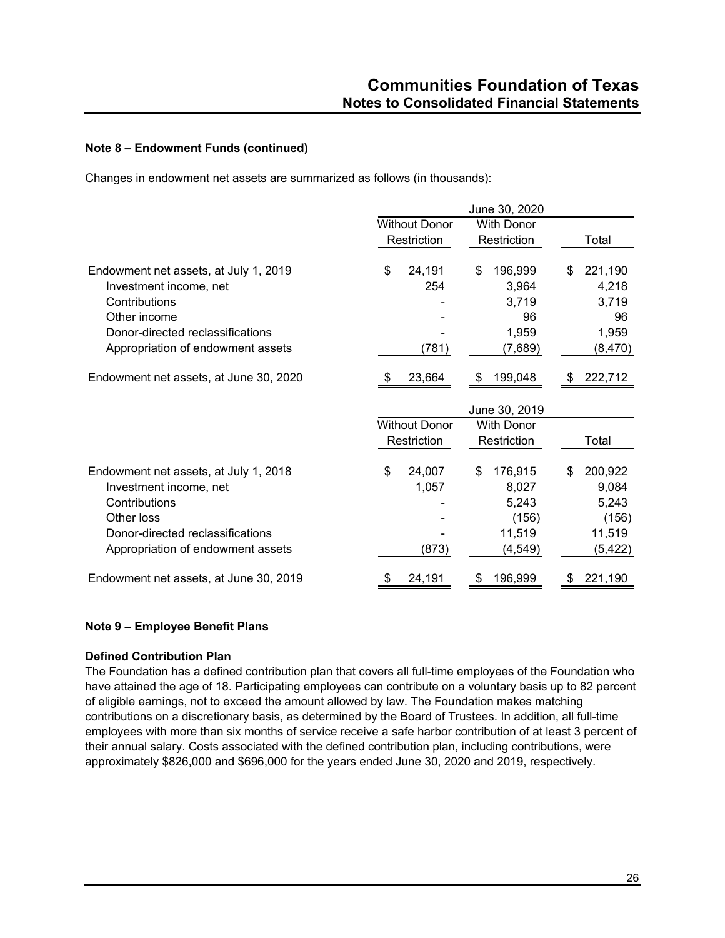# **Note 8 – Endowment Funds (continued)**

Changes in endowment net assets are summarized as follows (in thousands):

|                                        |                      | June 30, 2020     |               |
|----------------------------------------|----------------------|-------------------|---------------|
|                                        | <b>Without Donor</b> | <b>With Donor</b> |               |
|                                        | Restriction          | Restriction       | Total         |
| Endowment net assets, at July 1, 2019  | \$<br>24,191         | \$<br>196,999     | 221,190<br>\$ |
| Investment income, net                 | 254                  | 3,964             | 4,218         |
| Contributions                          |                      | 3,719             | 3,719         |
| Other income                           |                      | 96                | 96            |
| Donor-directed reclassifications       |                      | 1,959             | 1,959         |
| Appropriation of endowment assets      | (781)                | (7,689)           | (8, 470)      |
| Endowment net assets, at June 30, 2020 | 23,664               | 199,048           | 222,712       |
|                                        |                      | June 30, 2019     |               |
|                                        | <b>Without Donor</b> | <b>With Donor</b> |               |
|                                        | Restriction          | Restriction       | Total         |
| Endowment net assets, at July 1, 2018  | \$<br>24,007         | 176,915<br>\$     | 200,922<br>\$ |
| Investment income, net                 | 1,057                | 8,027             | 9,084         |
| Contributions                          |                      | 5,243             | 5,243         |
| Other loss                             |                      | (156)             | (156)         |
| Donor-directed reclassifications       |                      | 11,519            | 11,519        |
| Appropriation of endowment assets      | (873)                | (4, 549)          | (5, 422)      |
| Endowment net assets, at June 30, 2019 | 24,191               | 196,999           | 221,190<br>\$ |

# **Note 9 – Employee Benefit Plans**

#### **Defined Contribution Plan**

The Foundation has a defined contribution plan that covers all full-time employees of the Foundation who have attained the age of 18. Participating employees can contribute on a voluntary basis up to 82 percent of eligible earnings, not to exceed the amount allowed by law. The Foundation makes matching contributions on a discretionary basis, as determined by the Board of Trustees. In addition, all full-time employees with more than six months of service receive a safe harbor contribution of at least 3 percent of their annual salary. Costs associated with the defined contribution plan, including contributions, were approximately \$826,000 and \$696,000 for the years ended June 30, 2020 and 2019, respectively.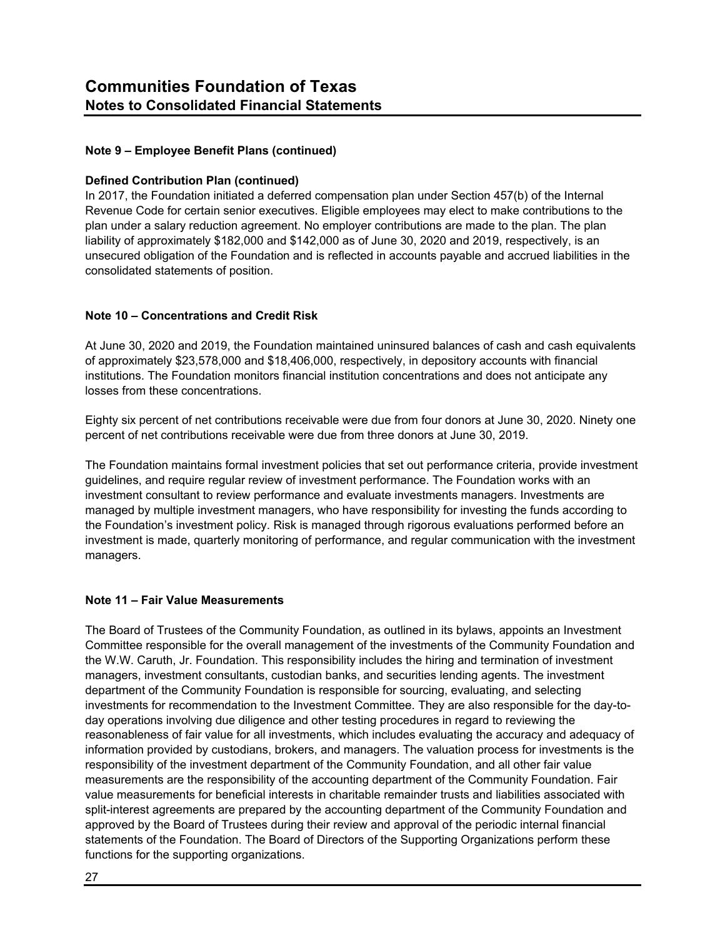# **Note 9 – Employee Benefit Plans (continued)**

## **Defined Contribution Plan (continued)**

In 2017, the Foundation initiated a deferred compensation plan under Section 457(b) of the Internal Revenue Code for certain senior executives. Eligible employees may elect to make contributions to the plan under a salary reduction agreement. No employer contributions are made to the plan. The plan liability of approximately \$182,000 and \$142,000 as of June 30, 2020 and 2019, respectively, is an unsecured obligation of the Foundation and is reflected in accounts payable and accrued liabilities in the consolidated statements of position.

# **Note 10 – Concentrations and Credit Risk**

At June 30, 2020 and 2019, the Foundation maintained uninsured balances of cash and cash equivalents of approximately \$23,578,000 and \$18,406,000, respectively, in depository accounts with financial institutions. The Foundation monitors financial institution concentrations and does not anticipate any losses from these concentrations.

Eighty six percent of net contributions receivable were due from four donors at June 30, 2020. Ninety one percent of net contributions receivable were due from three donors at June 30, 2019.

The Foundation maintains formal investment policies that set out performance criteria, provide investment guidelines, and require regular review of investment performance. The Foundation works with an investment consultant to review performance and evaluate investments managers. Investments are managed by multiple investment managers, who have responsibility for investing the funds according to the Foundation's investment policy. Risk is managed through rigorous evaluations performed before an investment is made, quarterly monitoring of performance, and regular communication with the investment managers.

# **Note 11 – Fair Value Measurements**

The Board of Trustees of the Community Foundation, as outlined in its bylaws, appoints an Investment Committee responsible for the overall management of the investments of the Community Foundation and the W.W. Caruth, Jr. Foundation. This responsibility includes the hiring and termination of investment managers, investment consultants, custodian banks, and securities lending agents. The investment department of the Community Foundation is responsible for sourcing, evaluating, and selecting investments for recommendation to the Investment Committee. They are also responsible for the day-today operations involving due diligence and other testing procedures in regard to reviewing the reasonableness of fair value for all investments, which includes evaluating the accuracy and adequacy of information provided by custodians, brokers, and managers. The valuation process for investments is the responsibility of the investment department of the Community Foundation, and all other fair value measurements are the responsibility of the accounting department of the Community Foundation. Fair value measurements for beneficial interests in charitable remainder trusts and liabilities associated with split-interest agreements are prepared by the accounting department of the Community Foundation and approved by the Board of Trustees during their review and approval of the periodic internal financial statements of the Foundation. The Board of Directors of the Supporting Organizations perform these functions for the supporting organizations.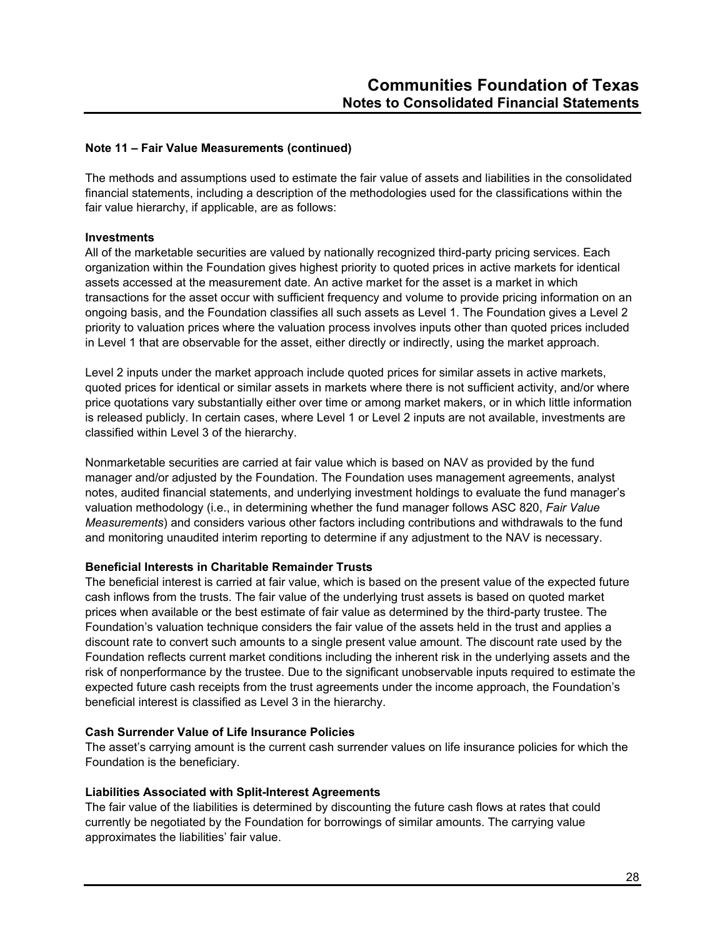The methods and assumptions used to estimate the fair value of assets and liabilities in the consolidated financial statements, including a description of the methodologies used for the classifications within the fair value hierarchy, if applicable, are as follows:

## **Investments**

All of the marketable securities are valued by nationally recognized third-party pricing services. Each organization within the Foundation gives highest priority to quoted prices in active markets for identical assets accessed at the measurement date. An active market for the asset is a market in which transactions for the asset occur with sufficient frequency and volume to provide pricing information on an ongoing basis, and the Foundation classifies all such assets as Level 1. The Foundation gives a Level 2 priority to valuation prices where the valuation process involves inputs other than quoted prices included in Level 1 that are observable for the asset, either directly or indirectly, using the market approach.

Level 2 inputs under the market approach include quoted prices for similar assets in active markets, quoted prices for identical or similar assets in markets where there is not sufficient activity, and/or where price quotations vary substantially either over time or among market makers, or in which little information is released publicly. In certain cases, where Level 1 or Level 2 inputs are not available, investments are classified within Level 3 of the hierarchy.

Nonmarketable securities are carried at fair value which is based on NAV as provided by the fund manager and/or adjusted by the Foundation. The Foundation uses management agreements, analyst notes, audited financial statements, and underlying investment holdings to evaluate the fund manager's valuation methodology (i.e., in determining whether the fund manager follows ASC 820, *Fair Value Measurements*) and considers various other factors including contributions and withdrawals to the fund and monitoring unaudited interim reporting to determine if any adjustment to the NAV is necessary.

# **Beneficial Interests in Charitable Remainder Trusts**

The beneficial interest is carried at fair value, which is based on the present value of the expected future cash inflows from the trusts. The fair value of the underlying trust assets is based on quoted market prices when available or the best estimate of fair value as determined by the third-party trustee. The Foundation's valuation technique considers the fair value of the assets held in the trust and applies a discount rate to convert such amounts to a single present value amount. The discount rate used by the Foundation reflects current market conditions including the inherent risk in the underlying assets and the risk of nonperformance by the trustee. Due to the significant unobservable inputs required to estimate the expected future cash receipts from the trust agreements under the income approach, the Foundation's beneficial interest is classified as Level 3 in the hierarchy.

# **Cash Surrender Value of Life Insurance Policies**

The asset's carrying amount is the current cash surrender values on life insurance policies for which the Foundation is the beneficiary.

# **Liabilities Associated with Split-Interest Agreements**

The fair value of the liabilities is determined by discounting the future cash flows at rates that could currently be negotiated by the Foundation for borrowings of similar amounts. The carrying value approximates the liabilities' fair value.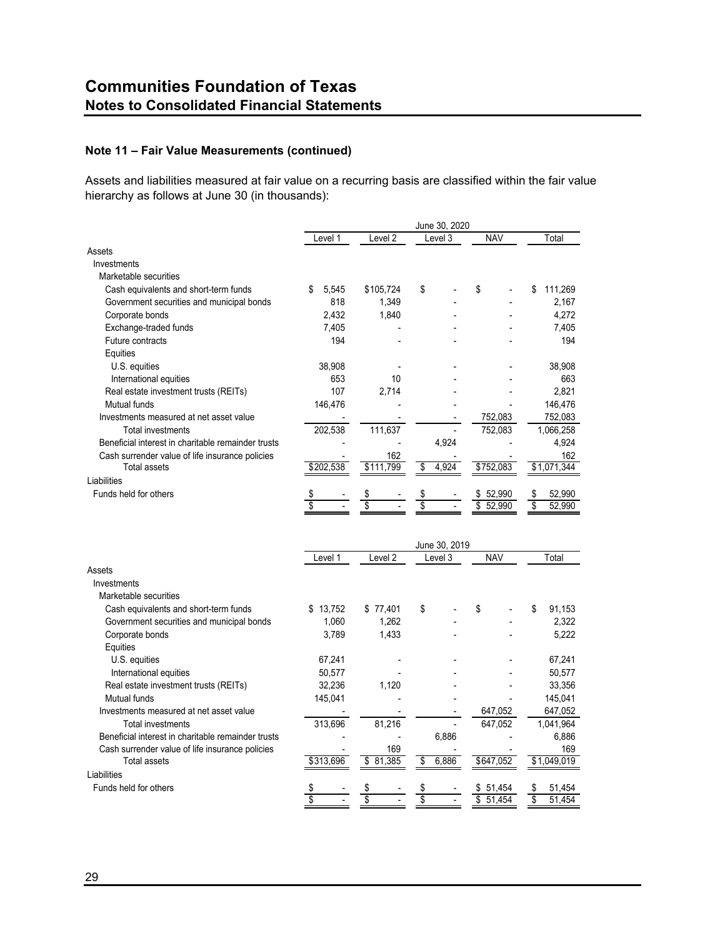Assets and liabilities measured at fair value on a recurring basis are classified within the fair value hierarchy as follows at June 30 (in thousands):

|                                                    |             |                    | June 30, 2020            |              |               |
|----------------------------------------------------|-------------|--------------------|--------------------------|--------------|---------------|
|                                                    | Level 1     | Level <sub>2</sub> | Level 3                  | <b>NAV</b>   | Total         |
| Assets                                             |             |                    |                          |              |               |
| Investments                                        |             |                    |                          |              |               |
| Marketable securities                              |             |                    |                          |              |               |
| Cash equivalents and short-term funds              | 5.545<br>\$ | \$105,724          | \$                       | \$           | \$<br>111,269 |
| Government securities and municipal bonds          | 818         | 1,349              |                          |              | 2,167         |
| Corporate bonds                                    | 2,432       | 1,840              |                          |              | 4,272         |
| Exchange-traded funds                              | 7,405       |                    |                          |              | 7,405         |
| Future contracts                                   | 194         |                    |                          |              | 194           |
| Equities                                           |             |                    |                          |              |               |
| U.S. equities                                      | 38,908      |                    |                          |              | 38,908        |
| International equities                             | 653         | 10                 |                          |              | 663           |
| Real estate investment trusts (REITs)              | 107         | 2,714              |                          |              | 2.821         |
| Mutual funds                                       | 146,476     |                    |                          |              | 146,476       |
| Investments measured at net asset value            |             |                    |                          | 752,083      | 752,083       |
| <b>Total investments</b>                           | 202,538     | 111,637            |                          | 752,083      | 1,066,258     |
| Beneficial interest in charitable remainder trusts |             |                    | 4,924                    |              | 4,924         |
| Cash surrender value of life insurance policies    |             | 162                |                          |              | 162           |
| <b>Total assets</b>                                | \$202,538   | \$111,799          | \$<br>4,924              | \$752,083    | \$1,071,344   |
| Liabilities                                        |             |                    |                          |              |               |
| Funds held for others                              | \$          | \$                 |                          | 52,990<br>\$ | 52,990<br>\$  |
|                                                    | Ŝ           | $\overline{\$}$    | \$                       | 52.990<br>\$ | \$<br>52.990  |
|                                                    | Level 1     | Level <sub>2</sub> | June 30, 2019<br>Level 3 | <b>NAV</b>   | Total         |
| Assets                                             |             |                    |                          |              |               |
| Investments                                        |             |                    |                          |              |               |
| Marketable securities                              |             |                    |                          |              |               |
| Cash equivalents and short-term funds              | \$13,752    | \$77,401           | \$                       | \$           | 91,153<br>S.  |
| Government securities and municipal bonds          | 1,060       | 1,262              |                          |              | 2,322         |
| Corporate bonds                                    | 3,789       | 1,433              |                          |              | 5,222         |
| Equities                                           |             |                    |                          |              |               |
| U.S. equities                                      | 67,241      |                    |                          |              | 67,241        |
| International equities                             | 50,577      |                    |                          |              | 50,577        |
| Real estate investment trusts (REITs)              | 32,236      | 1,120              |                          |              | 33,356        |
| <b>Mutual funds</b>                                | 145,041     |                    |                          |              | 145,041       |
| Investments measured at net asset value            |             |                    |                          | 647,052      | 647,052       |
| <b>Total investments</b>                           | 313,696     | 81,216             |                          | 647,052      | 1,041,964     |
| Beneficial interest in charitable remainder trusts |             |                    | 6,886                    |              | 6,886         |
| Cash surrender value of life insurance policies    |             | 169                |                          |              | 169           |
| <b>Total assets</b>                                | \$313,696   | \$<br>81,385       | \$<br>6,886              | \$647,052    | \$1,049,019   |
| Liabilities                                        |             |                    |                          |              |               |

\$ - - \$ - \$ 51,454 \$ 51,454 \$

Funds held for others \$ - \$ - \$ 51,454 \$ 51,454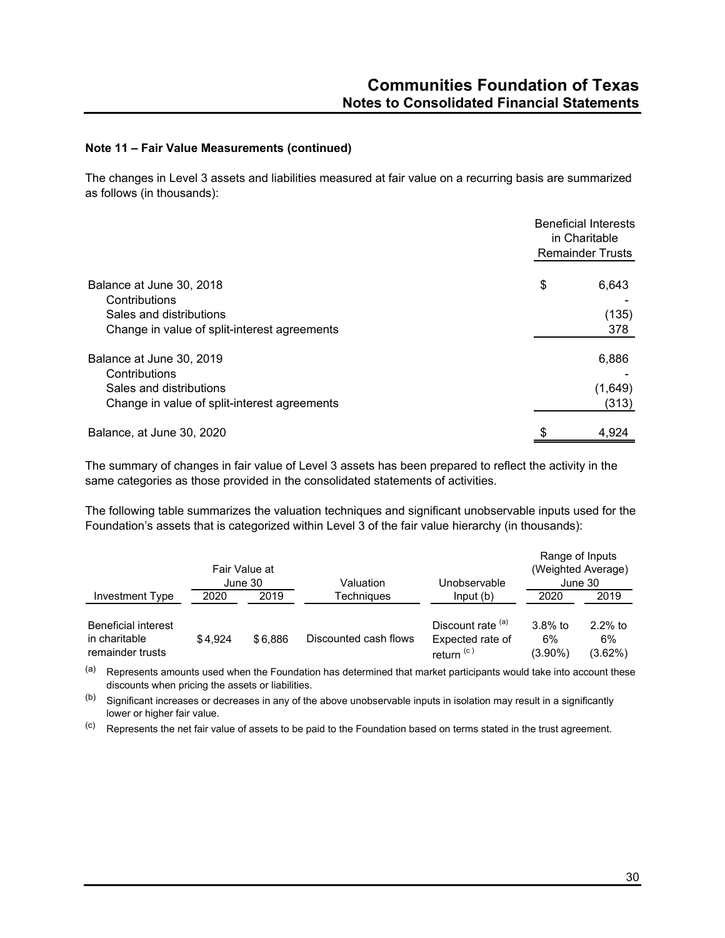The changes in Level 3 assets and liabilities measured at fair value on a recurring basis are summarized as follows (in thousands):

|                                              | <b>Beneficial Interests</b><br>in Charitable<br><b>Remainder Trusts</b> |  |  |
|----------------------------------------------|-------------------------------------------------------------------------|--|--|
| Balance at June 30, 2018<br>Contributions    | \$<br>6,643                                                             |  |  |
| Sales and distributions                      | (135)                                                                   |  |  |
| Change in value of split-interest agreements | 378                                                                     |  |  |
| Balance at June 30, 2019<br>Contributions    | 6,886                                                                   |  |  |
| Sales and distributions                      | (1,649)                                                                 |  |  |
| Change in value of split-interest agreements | (313)                                                                   |  |  |
| Balance, at June 30, 2020                    | \$<br>4,924                                                             |  |  |

The summary of changes in fair value of Level 3 assets has been prepared to reflect the activity in the same categories as those provided in the consolidated statements of activities.

The following table summarizes the valuation techniques and significant unobservable inputs used for the Foundation's assets that is categorized within Level 3 of the fair value hierarchy (in thousands):

|                                                                 |         | Fair Value at<br>June 30 | Valuation             | Unobservable                                          | Range of Inputs             | (Weighted Average)<br>June 30 |
|-----------------------------------------------------------------|---------|--------------------------|-----------------------|-------------------------------------------------------|-----------------------------|-------------------------------|
| Investment Type                                                 | 2020    | 2019                     | <b>Techniaues</b>     | Input(b)                                              | 2020                        | 2019                          |
| <b>Beneficial interest</b><br>in charitable<br>remainder trusts | \$4.924 | \$6.886                  | Discounted cash flows | Discount rate (a)<br>Expected rate of<br>return $(c)$ | $3.8\%$ to<br>6%<br>(3.90%) | $2.2%$ to<br>6%<br>(3.62%)    |

(a) Represents amounts used when the Foundation has determined that market participants would take into account these discounts when pricing the assets or liabilities.

 $(b)$  Significant increases or decreases in any of the above unobservable inputs in isolation may result in a significantly lower or higher fair value.

(c) Represents the net fair value of assets to be paid to the Foundation based on terms stated in the trust agreement.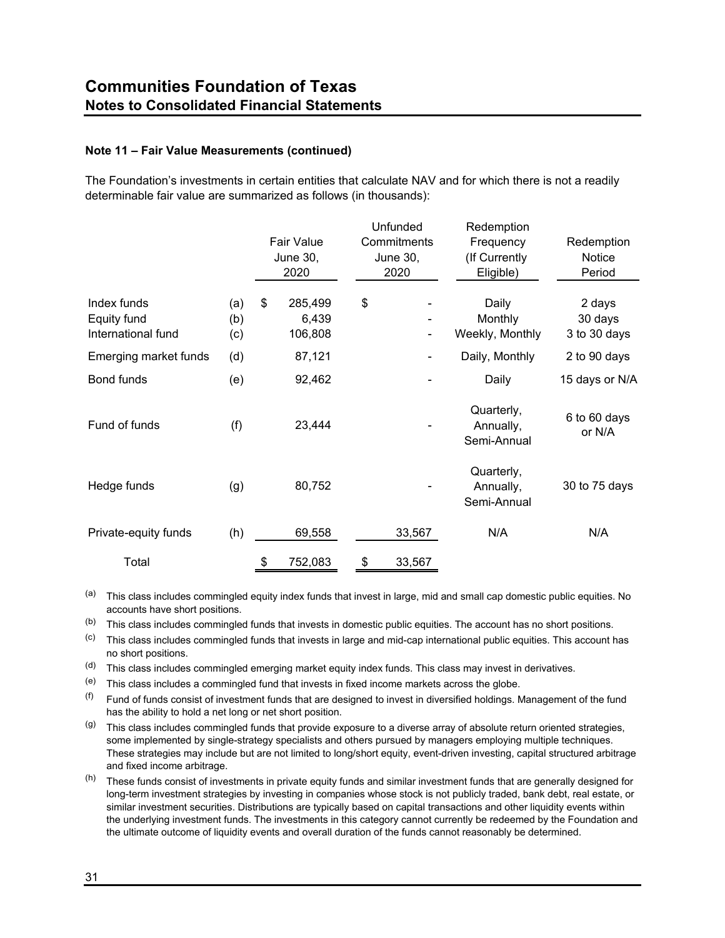The Foundation's investments in certain entities that calculate NAV and for which there is not a readily determinable fair value are summarized as follows (in thousands):

|                                                  |                   | <b>Fair Value</b><br><b>June 30,</b><br>2020 | Unfunded<br>Commitments<br><b>June 30,</b><br>2020 | Redemption<br>Frequency<br>(If Currently<br>Eligible) | Redemption<br>Notice<br>Period    |
|--------------------------------------------------|-------------------|----------------------------------------------|----------------------------------------------------|-------------------------------------------------------|-----------------------------------|
| Index funds<br>Equity fund<br>International fund | (a)<br>(b)<br>(c) | \$<br>285,499<br>6,439<br>106,808            | \$<br>۰                                            | Daily<br>Monthly<br>Weekly, Monthly                   | 2 days<br>30 days<br>3 to 30 days |
| Emerging market funds                            | (d)               | 87,121                                       | ٠                                                  | Daily, Monthly                                        | 2 to 90 days                      |
| Bond funds                                       | (e)               | 92,462                                       |                                                    | Daily                                                 | 15 days or N/A                    |
| Fund of funds                                    | (f)               | 23,444                                       |                                                    | Quarterly,<br>Annually,<br>Semi-Annual                | 6 to 60 days<br>or N/A            |
| Hedge funds                                      | (g)               | 80,752                                       |                                                    | Quarterly,<br>Annually,<br>Semi-Annual                | 30 to 75 days                     |
| Private-equity funds                             | (h)               | 69,558                                       | 33,567                                             | N/A                                                   | N/A                               |
| Total                                            |                   | \$<br>752,083                                | \$<br>33,567                                       |                                                       |                                   |

(a) This class includes commingled equity index funds that invest in large, mid and small cap domestic public equities. No accounts have short positions.

- (b) This class includes commingled funds that invests in domestic public equities. The account has no short positions.
- (c) This class includes commingled funds that invests in large and mid-cap international public equities. This account has no short positions.
- (d) This class includes commingled emerging market equity index funds. This class may invest in derivatives.
- (e) This class includes a commingled fund that invests in fixed income markets across the globe.
- $($ f) Fund of funds consist of investment funds that are designed to invest in diversified holdings. Management of the fund has the ability to hold a net long or net short position.
- $(9)$  This class includes commingled funds that provide exposure to a diverse array of absolute return oriented strategies, some implemented by single-strategy specialists and others pursued by managers employing multiple techniques. These strategies may include but are not limited to long/short equity, event-driven investing, capital structured arbitrage and fixed income arbitrage.
- (h) These funds consist of investments in private equity funds and similar investment funds that are generally designed for long-term investment strategies by investing in companies whose stock is not publicly traded, bank debt, real estate, or similar investment securities. Distributions are typically based on capital transactions and other liquidity events within the underlying investment funds. The investments in this category cannot currently be redeemed by the Foundation and the ultimate outcome of liquidity events and overall duration of the funds cannot reasonably be determined.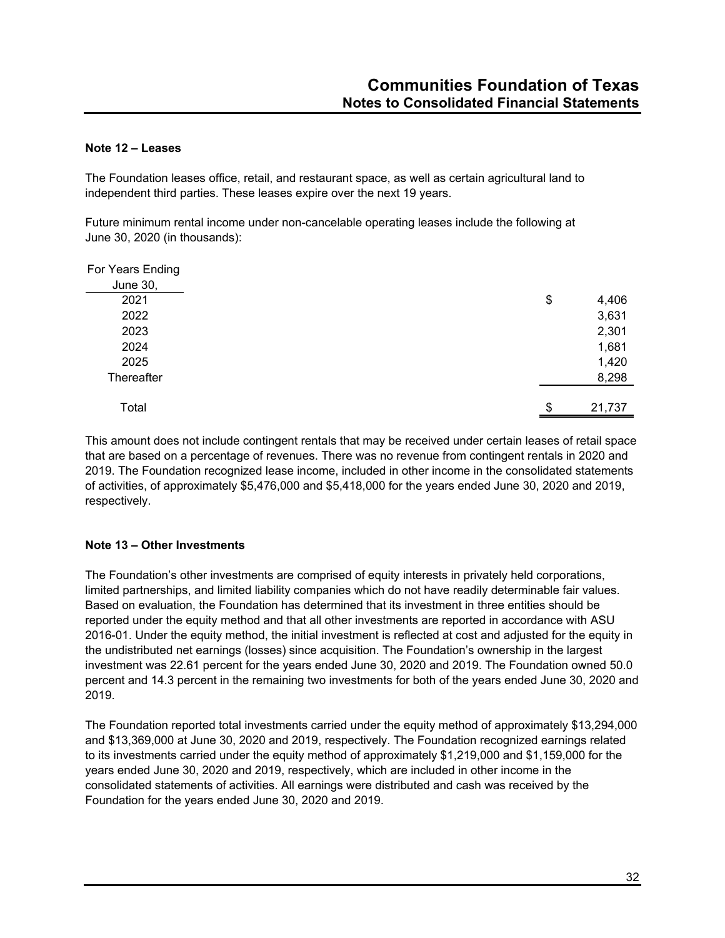# **Note 12 – Leases**

The Foundation leases office, retail, and restaurant space, as well as certain agricultural land to independent third parties. These leases expire over the next 19 years.

Future minimum rental income under non-cancelable operating leases include the following at June 30, 2020 (in thousands):

| For Years Ending |              |
|------------------|--------------|
| June 30,         |              |
| 2021             | \$<br>4,406  |
| 2022             | 3,631        |
| 2023             | 2,301        |
| 2024             | 1,681        |
| 2025             | 1,420        |
| Thereafter       | 8,298        |
|                  |              |
| Total            | \$<br>21,737 |

This amount does not include contingent rentals that may be received under certain leases of retail space that are based on a percentage of revenues. There was no revenue from contingent rentals in 2020 and 2019. The Foundation recognized lease income, included in other income in the consolidated statements of activities, of approximately \$5,476,000 and \$5,418,000 for the years ended June 30, 2020 and 2019, respectively.

# **Note 13 – Other Investments**

The Foundation's other investments are comprised of equity interests in privately held corporations, limited partnerships, and limited liability companies which do not have readily determinable fair values. Based on evaluation, the Foundation has determined that its investment in three entities should be reported under the equity method and that all other investments are reported in accordance with ASU 2016-01. Under the equity method, the initial investment is reflected at cost and adjusted for the equity in the undistributed net earnings (losses) since acquisition. The Foundation's ownership in the largest investment was 22.61 percent for the years ended June 30, 2020 and 2019. The Foundation owned 50.0 percent and 14.3 percent in the remaining two investments for both of the years ended June 30, 2020 and 2019.

The Foundation reported total investments carried under the equity method of approximately \$13,294,000 and \$13,369,000 at June 30, 2020 and 2019, respectively. The Foundation recognized earnings related to its investments carried under the equity method of approximately \$1,219,000 and \$1,159,000 for the years ended June 30, 2020 and 2019, respectively, which are included in other income in the consolidated statements of activities. All earnings were distributed and cash was received by the Foundation for the years ended June 30, 2020 and 2019.